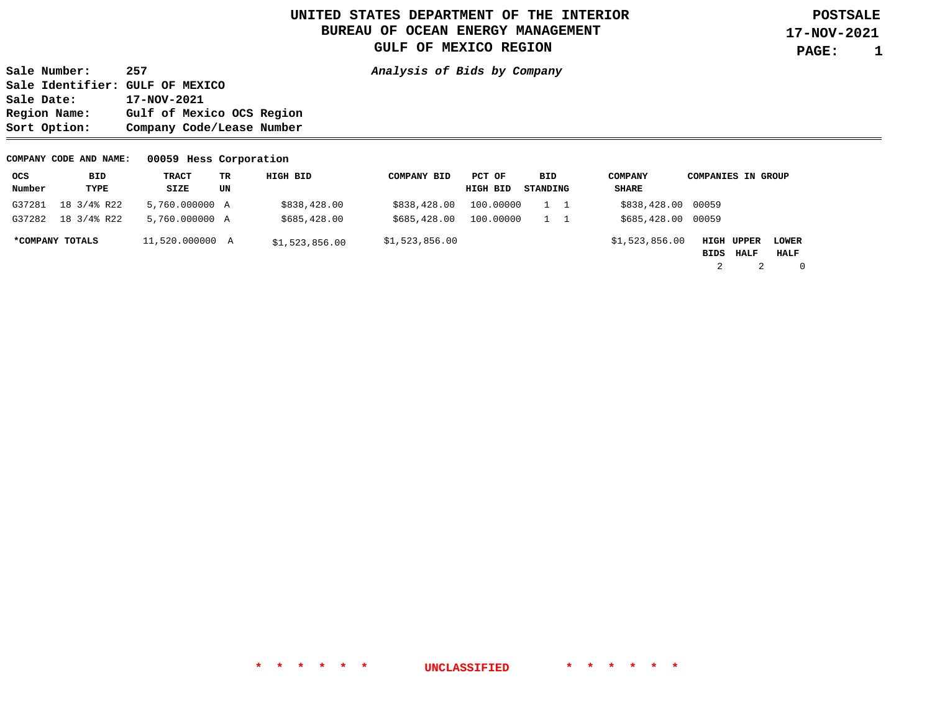**1** 

**Sale Number: 257 Analysis of Bids by Company Sale Identifier: GULF OF MEXICO**  Sale Date: 17-NOV-2021<br>Region Name: Gulf of Mex: Gulf of Mexico OCS Region **Sort Option: Company Code/Lease Number** 

#### **COMPANY CODE AND NAME: 00059 Hess Corporation**

| ocs    | BID             | TRACT           | TR | HIGH BID       | <b>COMPANY BID</b> | PCT OF    | BID      | <b>COMPANY</b>     | <b>COMPANIES IN GROUP</b> |             |             |
|--------|-----------------|-----------------|----|----------------|--------------------|-----------|----------|--------------------|---------------------------|-------------|-------------|
| Number | TYPE            | SIZE            | UN |                |                    | HIGH BID  | STANDING | <b>SHARE</b>       |                           |             |             |
| G37281 | 18 3/4% R22     | 5,760.000000 A  |    | \$838,428.00   | \$838,428.00       | 100.00000 |          | \$838,428.00 00059 |                           |             |             |
| G37282 | 18 3/4% R22     | 5,760,000000 A  |    | \$685,428.00   | \$685,428.00       | 100,00000 |          | \$685,428.00 00059 |                           |             |             |
|        | *COMPANY TOTALS | 11,520.000000 A |    | \$1,523,856.00 | \$1,523,856.00     |           |          | \$1,523,856.00     | HIGH UPPER                |             | LOWER       |
|        |                 |                 |    |                |                    |           |          |                    | BIDS                      | <b>HALF</b> | HALF        |
|        |                 |                 |    |                |                    |           |          |                    |                           |             | $\mathbf 0$ |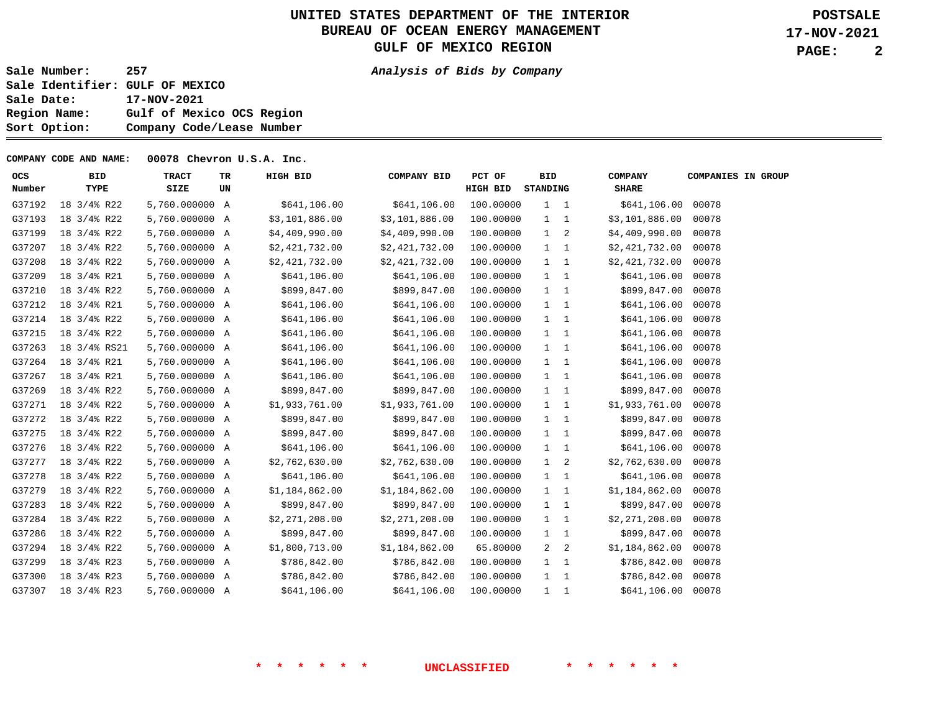**2** 

**Sale Number: 257 Analysis of Bids by Company Sale Identifier: GULF OF MEXICO Sale Date: 17-NOV-2021 Region Name: Gulf of Mexico OCS Region Sort Option: Company Code/Lease Number** 

**COMPANY CODE AND NAME: 00078 Chevron U.S.A. Inc.** 

| ocs<br>Number | <b>BID</b><br>TYPE | <b>TRACT</b><br>SIZE | TR<br>UN | HIGH BID       | COMPANY BID    | PCT OF<br><b>HIGH BID</b> | <b>BID</b><br>STANDING |     | <b>COMPANY</b><br><b>SHARE</b> | <b>COMPANIES IN GROUP</b> |
|---------------|--------------------|----------------------|----------|----------------|----------------|---------------------------|------------------------|-----|--------------------------------|---------------------------|
| G37192        | 18 3/4% R22        | 5,760.000000 A       |          | \$641,106.00   | \$641,106.00   | 100.00000                 | $1 \quad 1$            |     | \$641,106.00 00078             |                           |
| G37193        | 18 3/4% R22        | 5,760.000000 A       |          | \$3,101,886.00 | \$3,101,886.00 | 100.00000                 | $1 \quad 1$            |     | \$3,101,886.00                 | 00078                     |
| G37199        | 18 3/4% R22        | 5,760.000000 A       |          | \$4,409,990.00 | \$4,409,990.00 | 100.00000                 | $1 \quad 2$            |     | \$4,409,990.00                 | 00078                     |
| G37207        | 18 3/4% R22        | 5,760.000000 A       |          | \$2,421,732.00 | \$2,421,732.00 | 100.00000                 | $1 \quad 1$            |     | \$2,421,732.00                 | 00078                     |
| G37208        | 18 3/4% R22        | 5,760.000000 A       |          | \$2,421,732.00 | \$2,421,732.00 | 100.00000                 | $1 \quad 1$            |     | \$2,421,732.00                 | 00078                     |
| G37209        | 18 3/4% R21        | 5,760.000000 A       |          | \$641,106.00   | \$641,106.00   | 100.00000                 | $1 \quad 1$            |     | \$641,106.00                   | 00078                     |
| G37210        | 18 3/4% R22        | 5,760.000000 A       |          | \$899,847.00   | \$899,847.00   | 100.00000                 | $1 \quad 1$            |     | \$899,847.00                   | 00078                     |
| G37212        | 18 3/4% R21        | 5,760.000000 A       |          | \$641,106.00   | \$641,106.00   | 100.00000                 | $1 \quad 1$            |     | \$641,106.00                   | 00078                     |
| G37214        | 18 3/4% R22        | 5,760.000000 A       |          | \$641,106.00   | \$641,106.00   | 100.00000                 | $1\quad 1$             |     | \$641,106.00 00078             |                           |
| G37215        | 18 3/4% R22        | 5,760.000000 A       |          | \$641,106.00   | \$641,106.00   | 100.00000                 | $1 \quad 1$            |     | \$641,106.00                   | 00078                     |
| G37263        | 18 3/4% RS21       | 5,760.000000 A       |          | \$641,106.00   | \$641,106.00   | 100.00000                 | $1 \quad 1$            |     | \$641,106.00 00078             |                           |
| G37264        | 18 3/4% R21        | 5,760.000000 A       |          | \$641,106.00   | \$641,106.00   | 100.00000                 | $1 \quad 1$            |     | \$641,106.00                   | 00078                     |
| G37267        | 18 3/4% R21        | 5,760.000000 A       |          | \$641,106.00   | \$641,106.00   | 100.00000                 | $1 \quad 1$            |     | \$641,106.00 00078             |                           |
| G37269        | 18 3/4% R22        | 5,760.000000 A       |          | \$899,847.00   | \$899,847.00   | 100.00000                 | $1 \quad 1$            |     | \$899,847.00 00078             |                           |
| G37271        | 18 3/4% R22        | 5,760.000000 A       |          | \$1,933,761.00 | \$1,933,761.00 | 100.00000                 | $1 \quad 1$            |     | \$1,933,761.00                 | 00078                     |
| G37272        | 18 3/4% R22        | 5,760.000000 A       |          | \$899,847.00   | \$899,847.00   | 100.00000                 | $1 \quad 1$            |     | \$899,847.00                   | 00078                     |
| G37275        | 18 3/4% R22        | 5,760.000000 A       |          | \$899,847.00   | \$899,847.00   | 100.00000                 | $1 \quad 1$            |     | \$899,847.00                   | 00078                     |
| G37276        | 18 3/4% R22        | 5,760.000000 A       |          | \$641,106.00   | \$641,106.00   | 100.00000                 | $1 \quad 1$            |     | \$641,106.00                   | 00078                     |
| G37277        | 18 3/4% R22        | 5,760.000000 A       |          | \$2,762,630.00 | \$2,762,630.00 | 100.00000                 | $1 \quad 2$            |     | \$2,762,630.00                 | 00078                     |
| G37278        | 18 3/4% R22        | 5,760.000000 A       |          | \$641,106.00   | \$641,106.00   | 100.00000                 | $1 \quad 1$            |     | \$641,106.00                   | 00078                     |
| G37279        | 18 3/4% R22        | 5,760.000000 A       |          | \$1,184,862.00 | \$1,184,862.00 | 100.00000                 | $1 \quad 1$            |     | \$1,184,862.00                 | 00078                     |
| G37283        | 18 3/4% R22        | 5,760.000000 A       |          | \$899,847.00   | \$899,847.00   | 100.00000                 | $1 \quad 1$            |     | \$899,847.00                   | 00078                     |
| G37284        | 18 3/4% R22        | 5,760.000000 A       |          | \$2,271,208.00 | \$2,271,208.00 | 100.00000                 | $1 \quad 1$            |     | \$2,271,208.00                 | 00078                     |
| G37286        | 18 3/4% R22        | 5,760.000000 A       |          | \$899,847.00   | \$899,847.00   | 100.00000                 | $1 \quad 1$            |     | \$899,847.00                   | 00078                     |
| G37294        | 18 3/4% R22        | 5,760.000000 A       |          | \$1,800,713.00 | \$1,184,862.00 | 65.80000                  | 2                      | 2   | \$1,184,862.00                 | 00078                     |
| G37299        | 18 3/4% R23        | 5,760.000000 A       |          | \$786,842.00   | \$786,842.00   | 100.00000                 | $1 \quad 1$            |     | \$786,842.00                   | 00078                     |
| G37300        | 18 3/4% R23        | 5,760.000000 A       |          | \$786,842.00   | \$786,842.00   | 100.00000                 | $1 \quad 1$            |     | \$786,842.00                   | 00078                     |
| G37307        | 18 3/4% R23        | 5,760.000000 A       |          | \$641,106.00   | \$641,106.00   | 100,00000                 | $\mathbf{1}$           | - 1 | \$641,106.00                   | 00078                     |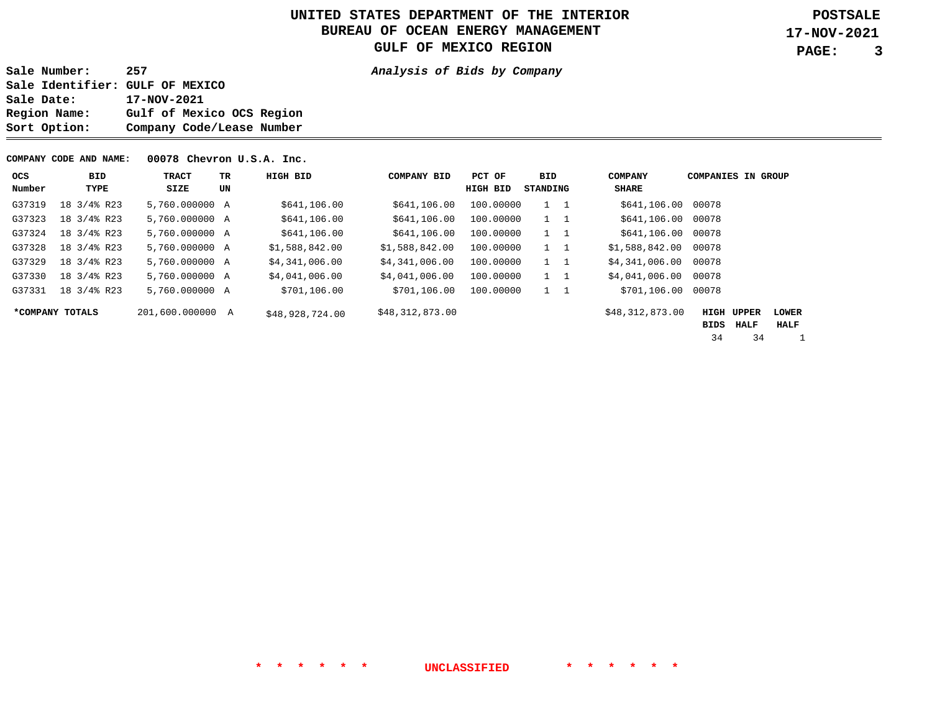**3** 

**Sale Number: 257 Analysis of Bids by Company Sale Identifier: GULF OF MEXICO Sale Date: 17-NOV-2021 Region Name: Gulf of Mexico OCS Region Sort Option: Company Code/Lease Number** 

**COMPANY CODE AND NAME: 00078 Chevron U.S.A. Inc.** 

| ocs    | <b>BID</b>      | <b>TRACT</b>     | TR. | HIGH BID        | <b>COMPANY BID</b> | PCT OF    | BID         | <b>COMPANY</b>  | <b>COMPANIES IN GROUP</b> |       |              |
|--------|-----------------|------------------|-----|-----------------|--------------------|-----------|-------------|-----------------|---------------------------|-------|--------------|
| Number | TYPE            | SIZE             | UN  |                 |                    | HIGH BID  | STANDING    | <b>SHARE</b>    |                           |       |              |
| G37319 | 18 3/4% R23     | 5,760.000000 A   |     | \$641,106.00    | \$641,106.00       | 100,00000 | $1 \quad 1$ | \$641,106.00    | 00078                     |       |              |
| G37323 | 18 3/4% R23     | 5,760,000000 A   |     | \$641,106.00    | \$641,106.00       | 100.00000 | $1 \quad 1$ | \$641,106.00    | 00078                     |       |              |
| G37324 | 18 3/4% R23     | 5,760,000000 A   |     | \$641,106.00    | \$641,106.00       | 100.00000 | $1 \quad 1$ | \$641,106.00    | 00078                     |       |              |
| G37328 | 18 3/4% R23     | 5,760,000000 A   |     | \$1,588,842.00  | \$1,588,842.00     | 100.00000 | $1 \quad 1$ | \$1,588,842.00  | 00078                     |       |              |
| G37329 | 18 3/4% R23     | 5,760,000000 A   |     | \$4,341,006.00  | \$4,341,006.00     | 100.00000 | $1 \quad 1$ | \$4,341,006.00  | 00078                     |       |              |
| G37330 | 18 3/4% R23     | 5,760.000000 A   |     | \$4,041,006.00  | \$4,041,006.00     | 100.00000 | $1 \quad 1$ | \$4,041,006.00  | 00078                     |       |              |
| G37331 | 18 3/4% R23     | 5,760,000000 A   |     | \$701,106.00    | \$701,106.00       | 100.00000 | $1 \quad 1$ | \$701,106.00    | 00078                     |       |              |
|        | *COMPANY TOTALS | 201,600.000000 A |     | \$48,928,724.00 | \$48,312,873.00    |           |             | \$48,312,873.00 | <b>HIGH</b>               | UPPER | <b>LOWER</b> |
|        |                 |                  |     |                 |                    |           |             |                 | BIDS                      | HALF  | HALF         |
|        |                 |                  |     |                 |                    |           |             |                 | 34                        | 34    |              |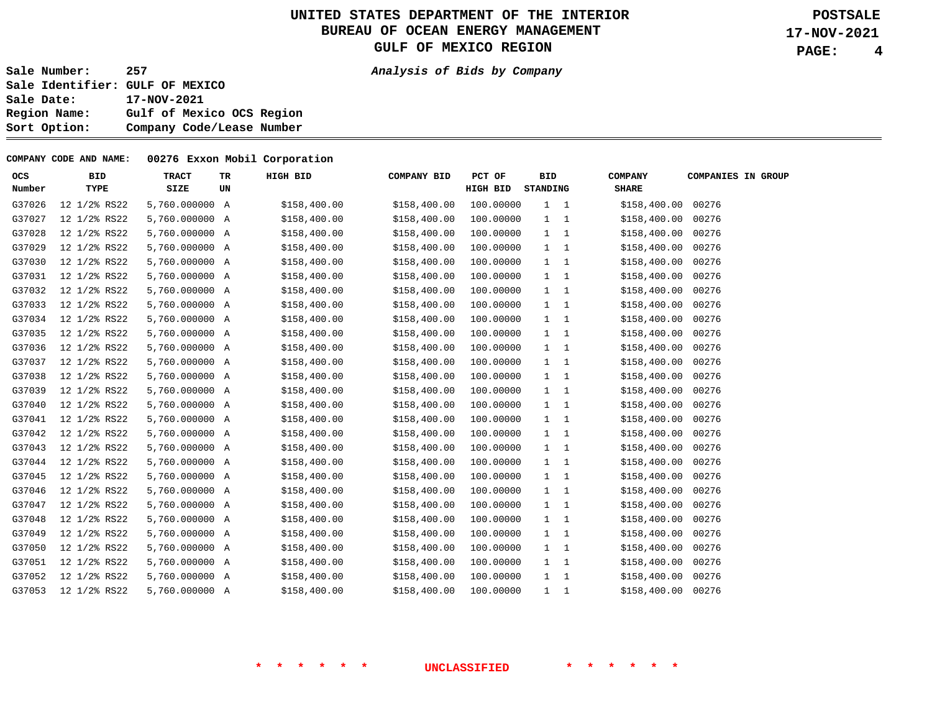**4** 

**Sale Number: 257 Analysis of Bids by Company** 

**Sale Identifier: GULF OF MEXICO Sale Date: 17-NOV-2021 Region Name: Gulf of Mexico OCS Region Sort Option: Company Code/Lease Number** 

#### **COMPANY CODE AND NAME: 00276 Exxon Mobil Corporation**

| <b>OCS</b> | <b>BID</b>   | <b>TRACT</b>   | TR | HIGH BID     | <b>COMPANY BID</b> | PCT OF    | <b>BID</b>  | <b>COMPANY</b>     | <b>COMPANIES IN GROUP</b> |
|------------|--------------|----------------|----|--------------|--------------------|-----------|-------------|--------------------|---------------------------|
| Number     | TYPE         | SIZE           | UN |              |                    | HIGH BID  | STANDING    | <b>SHARE</b>       |                           |
| G37026     | 12 1/2% RS22 | 5,760.000000 A |    | \$158,400.00 | \$158,400.00       | 100.00000 | $1 \quad 1$ | \$158,400.00 00276 |                           |
| G37027     | 12 1/2% RS22 | 5,760.000000 A |    | \$158,400.00 | \$158,400.00       | 100.00000 | $1\quad 1$  | \$158,400.00       | 00276                     |
| G37028     | 12 1/2% RS22 | 5,760.000000 A |    | \$158,400.00 | \$158,400.00       | 100.00000 | 1 1         | \$158,400.00 00276 |                           |
| G37029     | 12 1/2% RS22 | 5,760.000000 A |    | \$158,400.00 | \$158,400.00       | 100.00000 | $1 \quad 1$ | \$158,400.00       | 00276                     |
| G37030     | 12 1/2% RS22 | 5,760.000000 A |    | \$158,400.00 | \$158,400.00       | 100.00000 | $1 \quad 1$ | \$158,400.00 00276 |                           |
| G37031     | 12 1/2% RS22 | 5,760.000000 A |    | \$158,400.00 | \$158,400.00       | 100.00000 | 1 1         | \$158,400.00 00276 |                           |
| G37032     | 12 1/2% RS22 | 5,760.000000 A |    | \$158,400.00 | \$158,400.00       | 100.00000 | $1 \quad 1$ | \$158,400.00 00276 |                           |
| G37033     | 12 1/2% RS22 | 5,760.000000 A |    | \$158,400.00 | \$158,400.00       | 100.00000 | $1 \quad 1$ | \$158,400.00       | 00276                     |
| G37034     | 12 1/2% RS22 | 5,760.000000 A |    | \$158,400.00 | \$158,400.00       | 100.00000 | 1 1         | \$158,400.00 00276 |                           |
| G37035     | 12 1/2% RS22 | 5,760.000000 A |    | \$158,400.00 | \$158,400.00       | 100.00000 | $1 \quad 1$ | \$158,400.00 00276 |                           |
| G37036     | 12 1/2% RS22 | 5,760.000000 A |    | \$158,400.00 | \$158,400.00       | 100.00000 | $1 \quad 1$ | \$158,400.00 00276 |                           |
| G37037     | 12 1/2% RS22 | 5,760.000000 A |    | \$158,400.00 | \$158,400.00       | 100.00000 | $1 \quad 1$ | \$158,400.00       | 00276                     |
| G37038     | 12 1/2% RS22 | 5,760.000000 A |    | \$158,400.00 | \$158,400.00       | 100.00000 | $1 \quad 1$ | \$158,400.00 00276 |                           |
| G37039     | 12 1/2% RS22 | 5,760.000000 A |    | \$158,400.00 | \$158,400.00       | 100.00000 | $1 \quad 1$ | \$158,400.00 00276 |                           |
| G37040     | 12 1/2% RS22 | 5,760.000000 A |    | \$158,400.00 | \$158,400.00       | 100.00000 | $1 \quad 1$ | \$158,400.00 00276 |                           |
| G37041     | 12 1/2% RS22 | 5,760.000000 A |    | \$158,400.00 | \$158,400.00       | 100.00000 | $1 \quad 1$ | \$158,400.00       | 00276                     |
| G37042     | 12 1/2% RS22 | 5,760.000000 A |    | \$158,400.00 | \$158,400.00       | 100.00000 | $1 \quad 1$ | \$158,400.00 00276 |                           |
| G37043     | 12 1/2% RS22 | 5,760.000000 A |    | \$158,400.00 | \$158,400.00       | 100.00000 | $1\quad 1$  | \$158,400.00       | 00276                     |
| G37044     | 12 1/2% RS22 | 5,760.000000 A |    | \$158,400.00 | \$158,400.00       | 100.00000 | 1 1         | \$158,400.00 00276 |                           |
| G37045     | 12 1/2% RS22 | 5,760.000000 A |    | \$158,400.00 | \$158,400.00       | 100.00000 | $1 \quad 1$ | \$158,400.00       | 00276                     |
| G37046     | 12 1/2% RS22 | 5,760.000000 A |    | \$158,400.00 | \$158,400.00       | 100.00000 | $1 \quad 1$ | \$158,400.00 00276 |                           |
| G37047     | 12 1/2% RS22 | 5,760.000000 A |    | \$158,400.00 | \$158,400.00       | 100.00000 | $1 \quad 1$ | \$158,400.00       | 00276                     |
| G37048     | 12 1/2% RS22 | 5,760.000000 A |    | \$158,400.00 | \$158,400.00       | 100.00000 | $1 \quad 1$ | \$158,400.00 00276 |                           |
| G37049     | 12 1/2% RS22 | 5,760.000000 A |    | \$158,400.00 | \$158,400.00       | 100.00000 | $1 \quad 1$ | \$158,400.00       | 00276                     |
| G37050     | 12 1/2% RS22 | 5,760.000000 A |    | \$158,400.00 | \$158,400.00       | 100.00000 | $1 \quad 1$ | \$158,400.00 00276 |                           |
| G37051     | 12 1/2% RS22 | 5,760.000000 A |    | \$158,400.00 | \$158,400.00       | 100.00000 | $1 \quad 1$ | \$158,400.00 00276 |                           |
| G37052     | 12 1/2% RS22 | 5,760.000000 A |    | \$158,400.00 | \$158,400.00       | 100.00000 | $1 \quad 1$ | \$158,400.00 00276 |                           |
| G37053     | 12 1/2% RS22 | 5,760,000000 A |    | \$158,400.00 | \$158,400.00       | 100.00000 | 1 1         | \$158,400.00 00276 |                           |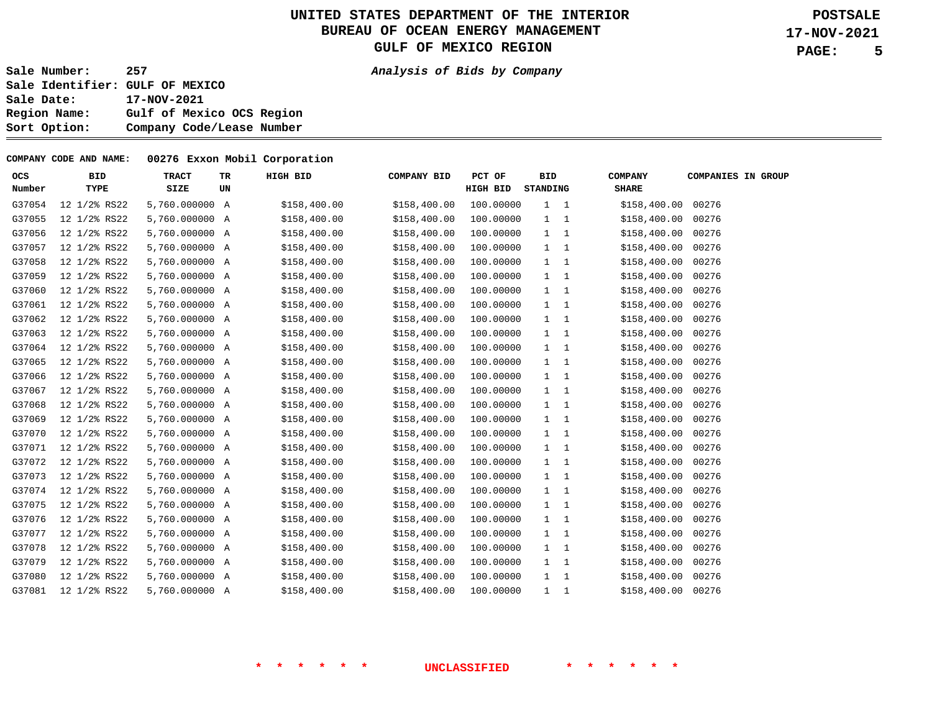**5** 

**Sale Number: 257 Analysis of Bids by Company** 

**Sale Identifier: GULF OF MEXICO Sale Date: 17-NOV-2021 Region Name: Gulf of Mexico OCS Region Sort Option: Company Code/Lease Number** 

#### **COMPANY CODE AND NAME: 00276 Exxon Mobil Corporation**

| <b>OCS</b> | <b>BID</b>   | <b>TRACT</b>   | TR | HIGH BID     | <b>COMPANY BID</b> | PCT OF    | <b>BID</b> |             | <b>COMPANY</b>     | <b>COMPANIES IN GROUP</b> |
|------------|--------------|----------------|----|--------------|--------------------|-----------|------------|-------------|--------------------|---------------------------|
| Number     | TYPE         | SIZE           | UN |              |                    | HIGH BID  | STANDING   |             | <b>SHARE</b>       |                           |
| G37054     | 12 1/2% RS22 | 5,760.000000 A |    | \$158,400.00 | \$158,400.00       | 100.00000 |            | $1 \quad 1$ | \$158,400.00 00276 |                           |
| G37055     | 12 1/2% RS22 | 5,760.000000 A |    | \$158,400.00 | \$158,400.00       | 100.00000 |            | $1 \quad 1$ | \$158,400.00       | 00276                     |
| G37056     | 12 1/2% RS22 | 5,760.000000 A |    | \$158,400.00 | \$158,400.00       | 100.00000 |            | $1 \quad 1$ | \$158,400.00 00276 |                           |
| G37057     | 12 1/2% RS22 | 5,760.000000 A |    | \$158,400.00 | \$158,400.00       | 100.00000 |            | $1 \quad 1$ | \$158,400.00       | 00276                     |
| G37058     | 12 1/2% RS22 | 5,760.000000 A |    | \$158,400.00 | \$158,400.00       | 100.00000 |            | $1 \quad 1$ | \$158,400.00       | 00276                     |
| G37059     | 12 1/2% RS22 | 5,760.000000 A |    | \$158,400.00 | \$158,400.00       | 100.00000 |            | $1 \quad 1$ | \$158,400.00       | 00276                     |
| G37060     | 12 1/2% RS22 | 5,760.000000 A |    | \$158,400.00 | \$158,400.00       | 100.00000 |            | $1 \quad 1$ | \$158,400.00 00276 |                           |
| G37061     | 12 1/2% RS22 | 5,760.000000 A |    | \$158,400.00 | \$158,400.00       | 100.00000 |            | $1 \quad 1$ | \$158,400.00       | 00276                     |
| G37062     | 12 1/2% RS22 | 5,760.000000 A |    | \$158,400.00 | \$158,400.00       | 100.00000 |            | $1 \quad 1$ | \$158,400.00       | 00276                     |
| G37063     | 12 1/2% RS22 | 5,760.000000 A |    | \$158,400.00 | \$158,400.00       | 100.00000 |            | $1 \quad 1$ | \$158,400.00       | 00276                     |
| G37064     | 12 1/2% RS22 | 5,760.000000 A |    | \$158,400.00 | \$158,400.00       | 100.00000 |            | $1 \quad 1$ | \$158,400.00       | 00276                     |
| G37065     | 12 1/2% RS22 | 5,760.000000 A |    | \$158,400.00 | \$158,400.00       | 100.00000 |            | $1 \quad 1$ | \$158,400.00       | 00276                     |
| G37066     | 12 1/2% RS22 | 5,760.000000 A |    | \$158,400.00 | \$158,400.00       | 100.00000 |            | $1\quad 1$  | \$158,400.00       | 00276                     |
| G37067     | 12 1/2% RS22 | 5,760.000000 A |    | \$158,400.00 | \$158,400.00       | 100.00000 |            | $1 \quad 1$ | \$158,400.00 00276 |                           |
| G37068     | 12 1/2% RS22 | 5,760.000000 A |    | \$158,400.00 | \$158,400.00       | 100.00000 |            | $1\quad 1$  | \$158,400.00 00276 |                           |
| G37069     | 12 1/2% RS22 | 5,760.000000 A |    | \$158,400.00 | \$158,400.00       | 100.00000 |            | $1 \quad 1$ | \$158,400.00       | 00276                     |
| G37070     | 12 1/2% RS22 | 5,760.000000 A |    | \$158,400.00 | \$158,400.00       | 100.00000 |            | $1 \quad 1$ | \$158,400.00 00276 |                           |
| G37071     | 12 1/2% RS22 | 5,760.000000 A |    | \$158,400.00 | \$158,400.00       | 100.00000 |            | $1 \quad 1$ | \$158,400.00       | 00276                     |
| G37072     | 12 1/2% RS22 | 5,760.000000 A |    | \$158,400.00 | \$158,400.00       | 100.00000 |            | $1 \quad 1$ | \$158,400.00 00276 |                           |
| G37073     | 12 1/2% RS22 | 5,760.000000 A |    | \$158,400.00 | \$158,400.00       | 100.00000 |            | $1 \quad 1$ | \$158,400.00       | 00276                     |
| G37074     | 12 1/2% RS22 | 5,760.000000 A |    | \$158,400.00 | \$158,400.00       | 100.00000 |            | $1 \quad 1$ | \$158,400.00 00276 |                           |
| G37075     | 12 1/2% RS22 | 5,760.000000 A |    | \$158,400.00 | \$158,400.00       | 100.00000 |            | $1 \quad 1$ | \$158,400.00       | 00276                     |
| G37076     | 12 1/2% RS22 | 5,760.000000 A |    | \$158,400.00 | \$158,400.00       | 100.00000 |            | $1 \quad 1$ | \$158,400.00 00276 |                           |
| G37077     | 12 1/2% RS22 | 5,760.000000 A |    | \$158,400.00 | \$158,400.00       | 100.00000 |            | $1 \quad 1$ | \$158,400.00       | 00276                     |
| G37078     | 12 1/2% RS22 | 5,760.000000 A |    | \$158,400.00 | \$158,400.00       | 100.00000 |            | $1 \quad 1$ | \$158,400.00 00276 |                           |
| G37079     | 12 1/2% RS22 | 5,760.000000 A |    | \$158,400.00 | \$158,400.00       | 100.00000 |            | $1 \quad 1$ | \$158,400.00       | 00276                     |
| G37080     | 12 1/2% RS22 | 5,760.000000 A |    | \$158,400.00 | \$158,400.00       | 100.00000 |            | $1 \quad 1$ | \$158,400.00 00276 |                           |
| G37081     | 12 1/2% RS22 | 5,760.000000 A |    | \$158,400.00 | \$158,400.00       | 100.00000 |            | $1\quad 1$  | \$158,400.00 00276 |                           |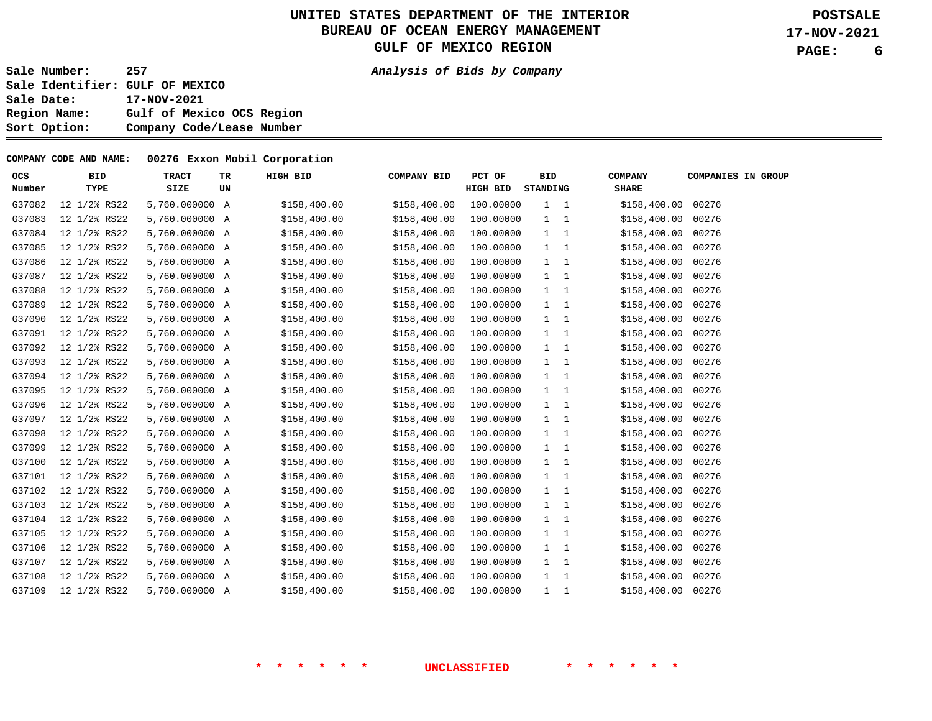**6** 

**Sale Number: 257 Analysis of Bids by Company** 

**Sale Identifier: GULF OF MEXICO Sale Date: 17-NOV-2021 Region Name: Gulf of Mexico OCS Region Sort Option: Company Code/Lease Number** 

#### **COMPANY CODE AND NAME: 00276 Exxon Mobil Corporation**

| OCS    | <b>BID</b>   | <b>TRACT</b>   | TR | HIGH BID     | <b>COMPANY BID</b> | PCT OF    | <b>BID</b>  | <b>COMPANY</b>     | <b>COMPANIES IN GROUP</b> |
|--------|--------------|----------------|----|--------------|--------------------|-----------|-------------|--------------------|---------------------------|
| Number | TYPE         | SIZE           | UN |              |                    | HIGH BID  | STANDING    | <b>SHARE</b>       |                           |
| G37082 | 12 1/2% RS22 | 5,760.000000 A |    | \$158,400.00 | \$158,400.00       | 100.00000 | $1 \quad 1$ | \$158,400.00 00276 |                           |
| G37083 | 12 1/2% RS22 | 5,760.000000 A |    | \$158,400.00 | \$158,400.00       | 100.00000 | $1\quad 1$  | \$158,400.00       | 00276                     |
| G37084 | 12 1/2% RS22 | 5,760.000000 A |    | \$158,400.00 | \$158,400.00       | 100.00000 | $1 \quad 1$ | \$158,400.00       | 00276                     |
| G37085 | 12 1/2% RS22 | 5,760.000000 A |    | \$158,400.00 | \$158,400.00       | 100.00000 | $1 \quad 1$ | \$158,400.00       | 00276                     |
| G37086 | 12 1/2% RS22 | 5,760.000000 A |    | \$158,400.00 | \$158,400.00       | 100.00000 | $1 \quad 1$ | \$158,400.00       | 00276                     |
| G37087 | 12 1/2% RS22 | 5,760.000000 A |    | \$158,400.00 | \$158,400.00       | 100.00000 | 1 1         | \$158,400.00       | 00276                     |
| G37088 | 12 1/2% RS22 | 5,760.000000 A |    | \$158,400.00 | \$158,400.00       | 100.00000 | $1\quad 1$  | \$158,400.00       | 00276                     |
| G37089 | 12 1/2% RS22 | 5,760.000000 A |    | \$158,400.00 | \$158,400.00       | 100.00000 | $1 \quad 1$ | \$158,400.00       | 00276                     |
| G37090 | 12 1/2% RS22 | 5,760.000000 A |    | \$158,400.00 | \$158,400.00       | 100.00000 | $1 \quad 1$ | \$158,400.00       | 00276                     |
| G37091 | 12 1/2% RS22 | 5,760.000000 A |    | \$158,400.00 | \$158,400.00       | 100.00000 | $1\quad 1$  | \$158,400.00       | 00276                     |
| G37092 | 12 1/2% RS22 | 5,760.000000 A |    | \$158,400.00 | \$158,400.00       | 100.00000 | $1 \quad 1$ | \$158,400.00       | 00276                     |
| G37093 | 12 1/2% RS22 | 5,760.000000 A |    | \$158,400.00 | \$158,400.00       | 100.00000 | $1 \quad 1$ | \$158,400.00       | 00276                     |
| G37094 | 12 1/2% RS22 | 5,760.000000 A |    | \$158,400.00 | \$158,400.00       | 100.00000 | $1 \quad 1$ | \$158,400.00       | 00276                     |
| G37095 | 12 1/2% RS22 | 5,760.000000 A |    | \$158,400.00 | \$158,400.00       | 100.00000 | $1 \quad 1$ | \$158,400.00       | 00276                     |
| G37096 | 12 1/2% RS22 | 5,760.000000 A |    | \$158,400.00 | \$158,400.00       | 100.00000 | $1 \quad 1$ | \$158,400.00       | 00276                     |
| G37097 | 12 1/2% RS22 | 5,760.000000 A |    | \$158,400.00 | \$158,400.00       | 100.00000 | $1 \quad 1$ | \$158,400.00       | 00276                     |
| G37098 | 12 1/2% RS22 | 5,760.000000 A |    | \$158,400.00 | \$158,400.00       | 100.00000 | $1 \quad 1$ | \$158,400.00       | 00276                     |
| G37099 | 12 1/2% RS22 | 5,760.000000 A |    | \$158,400.00 | \$158,400.00       | 100.00000 | $1 \quad 1$ | \$158,400.00       | 00276                     |
| G37100 | 12 1/2% RS22 | 5,760.000000 A |    | \$158,400.00 | \$158,400.00       | 100.00000 | $1 \quad 1$ | \$158,400.00       | 00276                     |
| G37101 | 12 1/2% RS22 | 5,760.000000 A |    | \$158,400.00 | \$158,400.00       | 100.00000 | $1 \quad 1$ | \$158,400.00       | 00276                     |
| G37102 | 12 1/2% RS22 | 5,760.000000 A |    | \$158,400.00 | \$158,400.00       | 100.00000 | $1 \quad 1$ | \$158,400.00       | 00276                     |
| G37103 | 12 1/2% RS22 | 5,760.000000 A |    | \$158,400.00 | \$158,400.00       | 100.00000 | $1 \quad 1$ | \$158,400.00       | 00276                     |
| G37104 | 12 1/2% RS22 | 5,760.000000 A |    | \$158,400.00 | \$158,400.00       | 100.00000 | $1 \quad 1$ | \$158,400.00       | 00276                     |
| G37105 | 12 1/2% RS22 | 5,760.000000 A |    | \$158,400.00 | \$158,400.00       | 100.00000 | $1 \quad 1$ | \$158,400.00       | 00276                     |
| G37106 | 12 1/2% RS22 | 5,760.000000 A |    | \$158,400.00 | \$158,400.00       | 100.00000 | $1 \quad 1$ | \$158,400.00       | 00276                     |
| G37107 | 12 1/2% RS22 | 5,760.000000 A |    | \$158,400.00 | \$158,400.00       | 100.00000 | $1 \quad 1$ | \$158,400.00       | 00276                     |
| G37108 | 12 1/2% RS22 | 5,760.000000 A |    | \$158,400.00 | \$158,400.00       | 100.00000 | $1 \quad 1$ | \$158,400.00       | 00276                     |
| G37109 | 12 1/2% RS22 | 5,760.000000 A |    | \$158,400.00 | \$158,400.00       | 100.00000 | $1\quad 1$  | \$158,400.00       | 00276                     |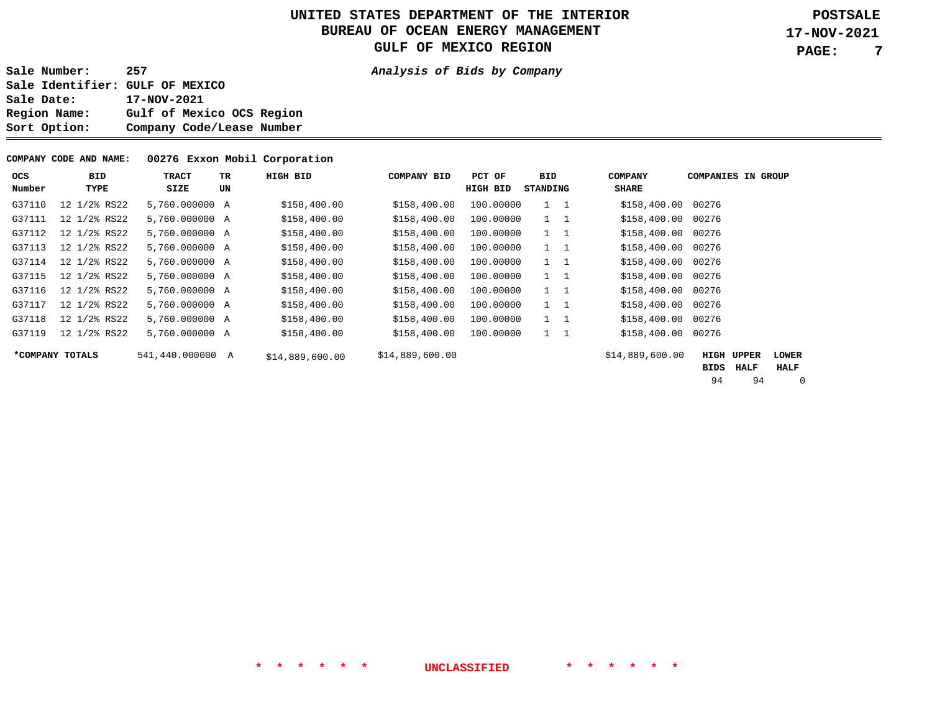**7** 

**Sale Number: 257 Analysis of Bids by Company Sale Identifier: GULF OF MEXICO Sale Date: 17-NOV-2021 Region Name: Gulf of Mexico OCS Region Sort Option: Company Code/Lease Number** 

#### **COMPANY CODE AND NAME: 00276 Exxon Mobil Corporation**

| ocs<br>Number   | BID<br>TYPE  | TRACT<br>SIZE    | TR<br>UN | HIGH BID        | <b>COMPANY BID</b> | PCT OF<br>HIGH BID | BID<br>STANDING |             | <b>COMPANY</b><br><b>SHARE</b> | <b>COMPANIES IN GROUP</b> |                      |                             |
|-----------------|--------------|------------------|----------|-----------------|--------------------|--------------------|-----------------|-------------|--------------------------------|---------------------------|----------------------|-----------------------------|
| G37110          | 12 1/2% RS22 | 5,760.000000 A   |          | \$158,400.00    | \$158,400.00       | 100.00000          |                 | $1 \quad 1$ | \$158,400.00                   | 00276                     |                      |                             |
| G37111          | 12 1/2% RS22 | 5,760.000000 A   |          | \$158,400.00    | \$158,400.00       | 100.00000          |                 | $1 \quad 1$ | \$158,400.00                   | 00276                     |                      |                             |
| G37112          | 12 1/2% RS22 | 5,760.000000 A   |          | \$158,400.00    | \$158,400.00       | 100.00000          |                 | $1 \quad 1$ | \$158,400.00 00276             |                           |                      |                             |
| G37113          | 12 1/2% RS22 | 5,760.000000 A   |          | \$158,400.00    | \$158,400.00       | 100.00000          |                 | $1 \quad 1$ | \$158,400.00                   | 00276                     |                      |                             |
| G37114          | 12 1/2% RS22 | 5,760.000000 A   |          | \$158,400.00    | \$158,400.00       | 100.00000          |                 | $1 \quad 1$ | \$158,400.00 00276             |                           |                      |                             |
| G37115          | 12 1/2% RS22 | 5,760.000000 A   |          | \$158,400.00    | \$158,400.00       | 100.00000          |                 | $1 \quad 1$ | \$158,400.00 00276             |                           |                      |                             |
| G37116          | 12 1/2% RS22 | 5,760.000000 A   |          | \$158,400.00    | \$158,400.00       | 100.00000          |                 | $1 \quad 1$ | \$158,400.00                   | 00276                     |                      |                             |
| G37117          | 12 1/2% RS22 | 5,760.000000 A   |          | \$158,400.00    | \$158,400.00       | 100.00000          |                 | $1 \quad 1$ | \$158,400.00 00276             |                           |                      |                             |
| G37118          | 12 1/2% RS22 | 5,760.000000 A   |          | \$158,400.00    | \$158,400.00       | 100.00000          |                 | $1 \quad 1$ | \$158,400.00                   | 00276                     |                      |                             |
| G37119          | 12 1/2% RS22 | 5,760,000000 A   |          | \$158,400.00    | \$158,400.00       | 100.00000          |                 | $1 \quad 1$ | \$158,400.00                   | 00276                     |                      |                             |
| *COMPANY TOTALS |              | 541,440.000000 A |          | \$14,889,600.00 | \$14,889,600.00    |                    |                 |             | \$14,889,600.00                | HIGH<br>BIDS              | <b>UPPER</b><br>HALF | <b>LOWER</b><br><b>HALF</b> |

94 94 0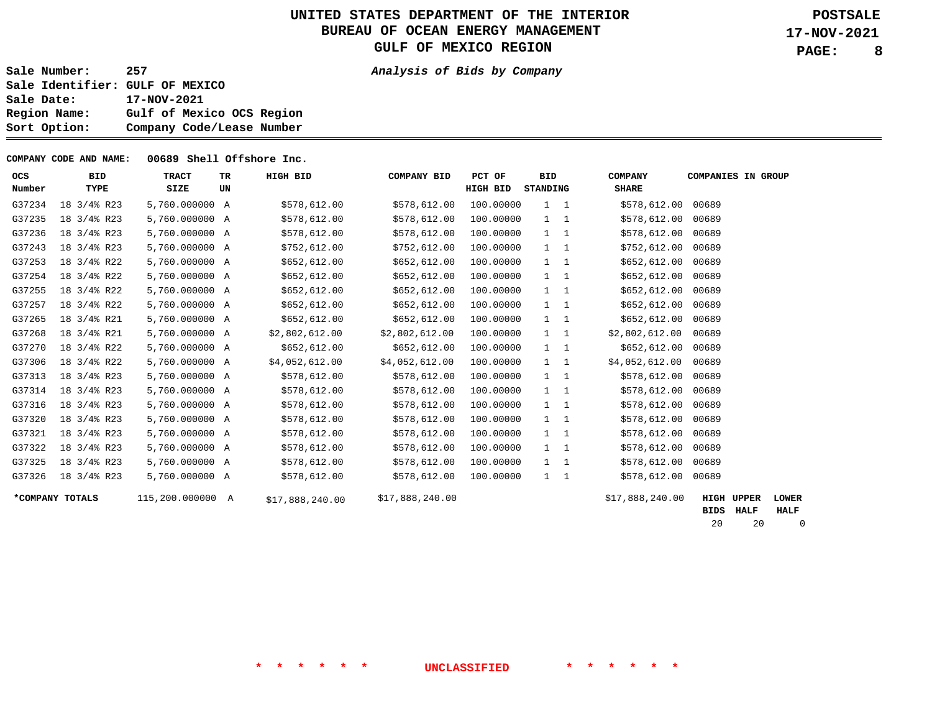**8** 

**Sale Number: 257 Analysis of Bids by Company** 

**Sale Identifier: GULF OF MEXICO Sale Date: 17-NOV-2021 Region Name: Gulf of Mexico OCS Region Sort Option: Company Code/Lease Number** 

**COMPANY CODE AND NAME: 00689 Shell Offshore Inc.** 

| <b>OCS</b> | <b>BID</b>             | <b>TRACT</b>     | <b>TR</b> | HIGH BID        | <b>COMPANY BID</b> | PCT OF    | <b>BID</b>                     | <b>COMPANY</b>  | <b>COMPANIES IN GROUP</b> |              |  |
|------------|------------------------|------------------|-----------|-----------------|--------------------|-----------|--------------------------------|-----------------|---------------------------|--------------|--|
| Number     | TYPE                   | SIZE             | UN        |                 |                    | HIGH BID  | <b>STANDING</b>                | <b>SHARE</b>    |                           |              |  |
| G37234     | 18 3/4% R23            | 5,760.000000 A   |           | \$578,612.00    | \$578,612.00       | 100.00000 | $1 \quad 1$                    | \$578,612.00    | 00689                     |              |  |
| G37235     | 18 3/4% R23            | 5,760.000000 A   |           | \$578,612.00    | \$578,612.00       | 100.00000 | $\mathbf{1}$<br>$\overline{1}$ | \$578,612.00    | 00689                     |              |  |
| G37236     | 18 3/4% R23            | 5,760.000000 A   |           | \$578,612.00    | \$578,612.00       | 100.00000 | $1 \quad 1$                    | \$578,612.00    | 00689                     |              |  |
| G37243     | 18 3/4% R23            | 5,760.000000 A   |           | \$752,612.00    | \$752,612.00       | 100.00000 | $1\quad 1$                     | \$752,612.00    | 00689                     |              |  |
| G37253     | 18 3/4% R22            | 5,760.000000 A   |           | \$652,612.00    | \$652,612.00       | 100.00000 | $1 \quad 1$                    | \$652,612.00    | 00689                     |              |  |
| G37254     | 18 3/4% R22            | 5,760.000000 A   |           | \$652,612.00    | \$652,612.00       | 100.00000 | $1 \quad 1$                    | \$652,612.00    | 00689                     |              |  |
| G37255     | 18 3/4% R22            | 5,760.000000 A   |           | \$652,612.00    | \$652,612.00       | 100.00000 | $\mathbf{1}$<br>$\overline{1}$ | \$652,612.00    | 00689                     |              |  |
| G37257     | 18 3/4% R22            | 5,760.000000 A   |           | \$652,612.00    | \$652,612.00       | 100.00000 | $\mathbf{1}$<br>$\overline{1}$ | \$652,612.00    | 00689                     |              |  |
| G37265     | 18 3/4% R21            | 5,760.000000 A   |           | \$652,612.00    | \$652,612.00       | 100.00000 | $1\quad 1$                     | \$652,612.00    | 00689                     |              |  |
| G37268     | 18 3/4% R21            | 5,760.000000 A   |           | \$2,802,612.00  | \$2,802,612.00     | 100.00000 | $1 \quad 1$                    | \$2,802,612.00  | 00689                     |              |  |
| G37270     | 18 3/4% R22            | 5,760.000000 A   |           | \$652,612.00    | \$652,612.00       | 100.00000 | $1 \quad 1$                    | \$652,612.00    | 00689                     |              |  |
| G37306     | 18 3/4% R22            | 5,760.000000 A   |           | \$4,052,612.00  | \$4,052,612.00     | 100.00000 | $1 \quad 1$                    | \$4,052,612.00  | 00689                     |              |  |
| G37313     | 18 3/4% R23            | 5,760.000000 A   |           | \$578,612.00    | \$578,612.00       | 100.00000 | $\mathbf{1}$<br>$\overline{1}$ | \$578,612.00    | 00689                     |              |  |
| G37314     | $18 \frac{3}{4\%}$ R23 | 5,760.000000 A   |           | \$578,612.00    | \$578,612.00       | 100.00000 | $1 \quad 1$                    | \$578,612.00    | 00689                     |              |  |
| G37316     | 18 3/4% R23            | 5,760.000000 A   |           | \$578,612.00    | \$578,612.00       | 100.00000 | $1 \quad 1$                    | \$578,612.00    | 00689                     |              |  |
| G37320     | 18 3/4% R23            | 5,760.000000 A   |           | \$578,612.00    | \$578,612.00       | 100.00000 | $1 \quad 1$                    | \$578,612.00    | 00689                     |              |  |
| G37321     | 18 3/4% R23            | 5,760.000000 A   |           | \$578,612.00    | \$578,612.00       | 100.00000 | $1\quad 1$                     | \$578,612.00    | 00689                     |              |  |
| G37322     | 18 3/4% R23            | 5,760.000000 A   |           | \$578,612.00    | \$578,612.00       | 100.00000 | $\mathbf{1}$<br>$\overline{1}$ | \$578,612.00    | 00689                     |              |  |
| G37325     | 18 3/4% R23            | 5,760.000000 A   |           | \$578,612.00    | \$578,612.00       | 100.00000 | $1 \quad 1$                    | \$578,612.00    | 00689                     |              |  |
| G37326     | 18 3/4% R23            | 5,760.000000 A   |           | \$578,612.00    | \$578,612.00       | 100.00000 | $1 \quad 1$                    | \$578,612.00    | 00689                     |              |  |
|            | *COMPANY TOTALS        | 115,200.000000 A |           | \$17,888,240.00 | \$17,888,240.00    |           |                                | \$17,888,240.00 | <b>HIGH UPPER</b>         | <b>LOWER</b> |  |

**BIDS HALF HALF**

20 20 0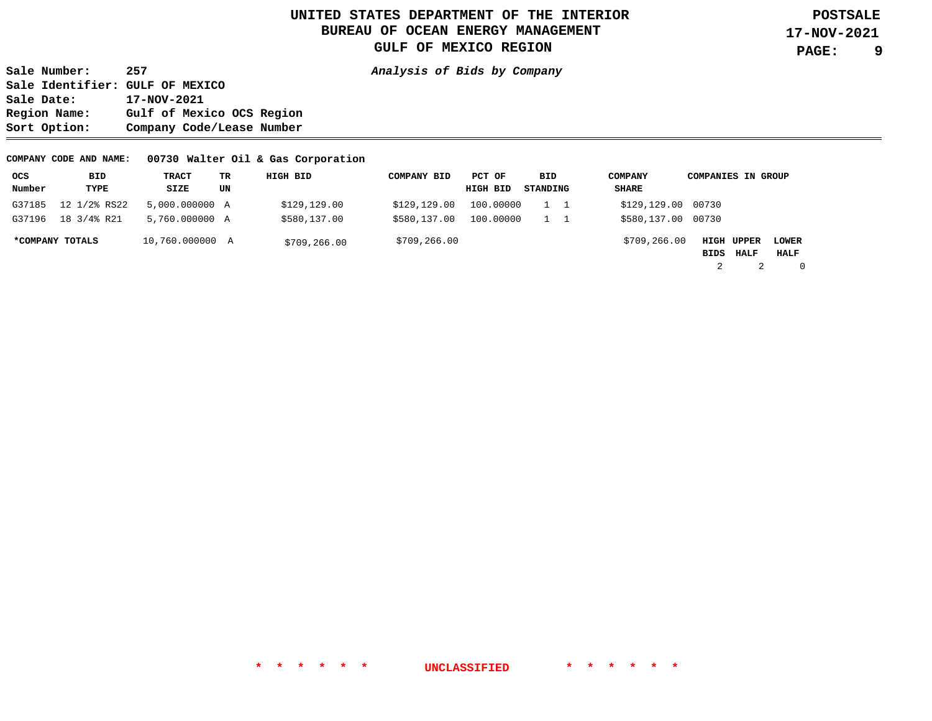**9** 

**Sale Number: 257 Analysis of Bids by Company Sale Identifier: GULF OF MEXICO Sale Date: 17-NOV-2021 Region Name: Gulf of Mexico OCS Region Sort Option: Company Code/Lease Number** 

#### **COMPANY CODE AND NAME: 00730 Walter Oil & Gas Corporation**

| ocs    | BID             | TRACT           | TR. | HIGH BID     | <b>COMPANY BID</b> | PCT OF   |           | BID      | <b>COMPANY</b>     | <b>COMPANIES IN GROUP</b> |             |              |
|--------|-----------------|-----------------|-----|--------------|--------------------|----------|-----------|----------|--------------------|---------------------------|-------------|--------------|
| Number | TYPE            | SIZE            | UN  |              |                    | HIGH BID |           | STANDING | SHARE              |                           |             |              |
| G37185 | 12 1/2% RS22    | 5,000.000000 A  |     | \$129,129.00 | \$129,129.00       |          | 100,00000 |          | \$129,129.00 00730 |                           |             |              |
| G37196 | 18 3/4% R21     | 5,760.000000 A  |     | \$580,137.00 | \$580,137.00       |          | 100,00000 |          | \$580,137.00 00730 |                           |             |              |
|        | *COMPANY TOTALS | 10,760.000000 A |     | \$709,266.00 | \$709,266.00       |          |           |          | \$709,266.00       | HIGH UPPER                |             | <b>LOWER</b> |
|        |                 |                 |     |              |                    |          |           |          |                    | BIDS                      | <b>HALF</b> | HALF         |
|        |                 |                 |     |              |                    |          |           |          |                    |                           |             | $\Omega$     |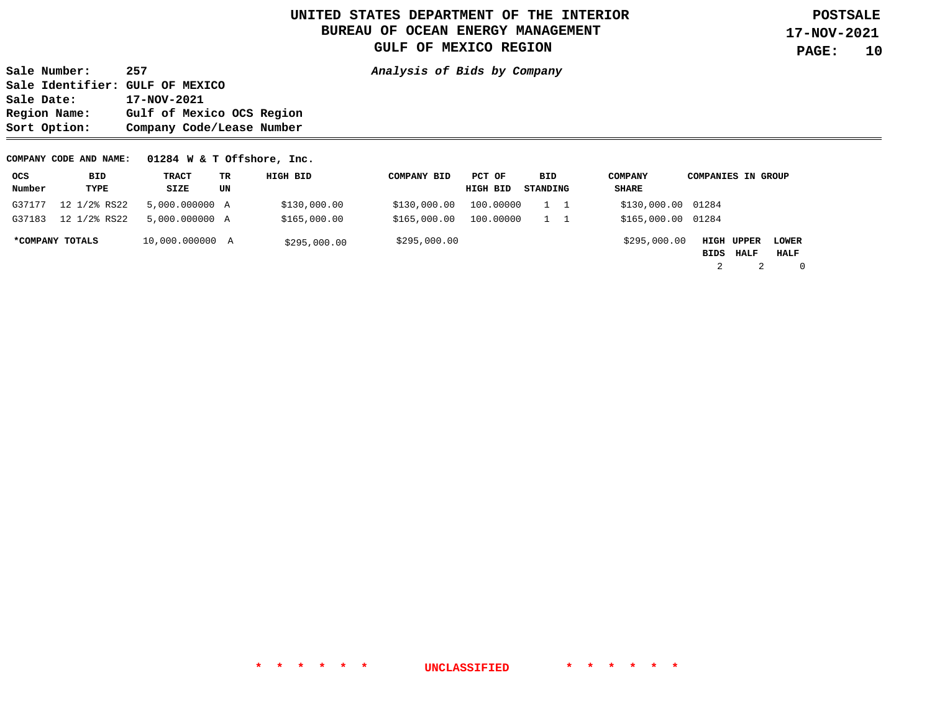**Sale Number: 257 Analysis of Bids by Company Sale Identifier: GULF OF MEXICO Sale Date: 17-NOV-2021 Region Name: Gulf of Mexico OCS Region Sort Option: Company Code/Lease Number** 

#### **COMPANY CODE AND NAME: 01284 W & T Offshore, Inc.**

| ocs    | BID             | TRACT           | ТR | HIGH BID     | <b>COMPANY BID</b> | PCT OF    | BID      | COMPANY            | <b>COMPANIES IN GROUP</b> |      |                      |          |
|--------|-----------------|-----------------|----|--------------|--------------------|-----------|----------|--------------------|---------------------------|------|----------------------|----------|
| Number | TYPE            | SIZE            | UN |              |                    | HIGH BID  | STANDING | SHARE              |                           |      |                      |          |
| G37177 | 12 1/2% RS22    | 5,000.000000 A  |    | \$130,000.00 | \$130,000.00       | 100,00000 |          | \$130,000.00 01284 |                           |      |                      |          |
| G37183 | 12 1/2% RS22    | 5,000.000000 A  |    | \$165,000.00 | \$165,000.00       | 100,00000 |          | \$165,000.00 01284 |                           |      |                      |          |
|        | *COMPANY TOTALS | 10,000.000000 A |    | \$295,000.00 | \$295,000.00       |           |          | \$295,000.00       | <b>HIGH UPPER</b><br>BIDS | HALF | <b>LOWER</b><br>HALF |          |
|        |                 |                 |    |              |                    |           |          |                    | 2                         |      |                      | $\Omega$ |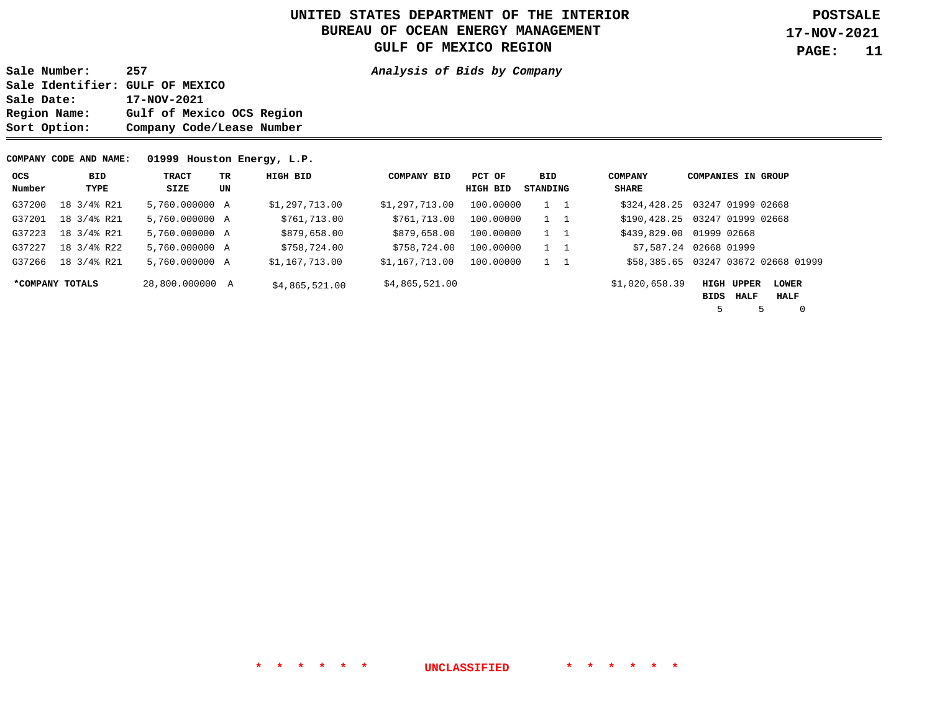**Sale Number: 257 Analysis of Bids by Company Sale Identifier: GULF OF MEXICO Sale Date: 17-NOV-2021 Region Name: Gulf of Mexico OCS Region Sort Option: Company Code/Lease Number** 

#### **COMPANY CODE AND NAME: 01999 Houston Energy, L.P.**

| ocs    | BID             | TRACT           | TR. | HIGH BID       | <b>COMPANY BID</b> | PCT OF    | BID      | <b>COMPANY</b> | <b>COMPANIES IN GROUP</b>           |              |
|--------|-----------------|-----------------|-----|----------------|--------------------|-----------|----------|----------------|-------------------------------------|--------------|
| Number | TYPE            | SIZE            | UN  |                |                    | HIGH BID  | STANDING | SHARE          |                                     |              |
| G37200 | 18 3/4% R21     | 5,760.000000 A  |     | \$1,297,713.00 | \$1,297,713.00     | 100,00000 | 1 1      |                | \$324,428.25 03247 01999 02668      |              |
| G37201 | 18 3/4% R21     | 5,760.000000 A  |     | \$761,713.00   | \$761,713.00       | 100,00000 | 1 1      |                | \$190,428.25 03247 01999 02668      |              |
| G37223 | 18 3/4% R21     | 5,760.000000 A  |     | \$879,658.00   | \$879,658.00       | 100.00000 | 1 1      |                | \$439,829.00 01999 02668            |              |
| G37227 | 18 3/4% R22     | 5,760.000000 A  |     | \$758,724.00   | \$758,724.00       | 100.00000 | 1 1      |                | \$7,587.24 02668 01999              |              |
| G37266 | 18 3/4% R21     | 5,760,000000 A  |     | \$1,167,713.00 | \$1,167,713.00     | 100,00000 | 1 1      |                | \$58,385.65 03247 03672 02668 01999 |              |
|        | *COMPANY TOTALS | 28,800.000000 A |     | \$4,865,521.00 | \$4,865,521.00     |           |          | \$1,020,658.39 | HIGH UPPER                          | <b>LOWER</b> |
|        |                 |                 |     |                |                    |           |          |                | HALF<br>BIDS                        | HALF         |
|        |                 |                 |     |                |                    |           |          |                |                                     |              |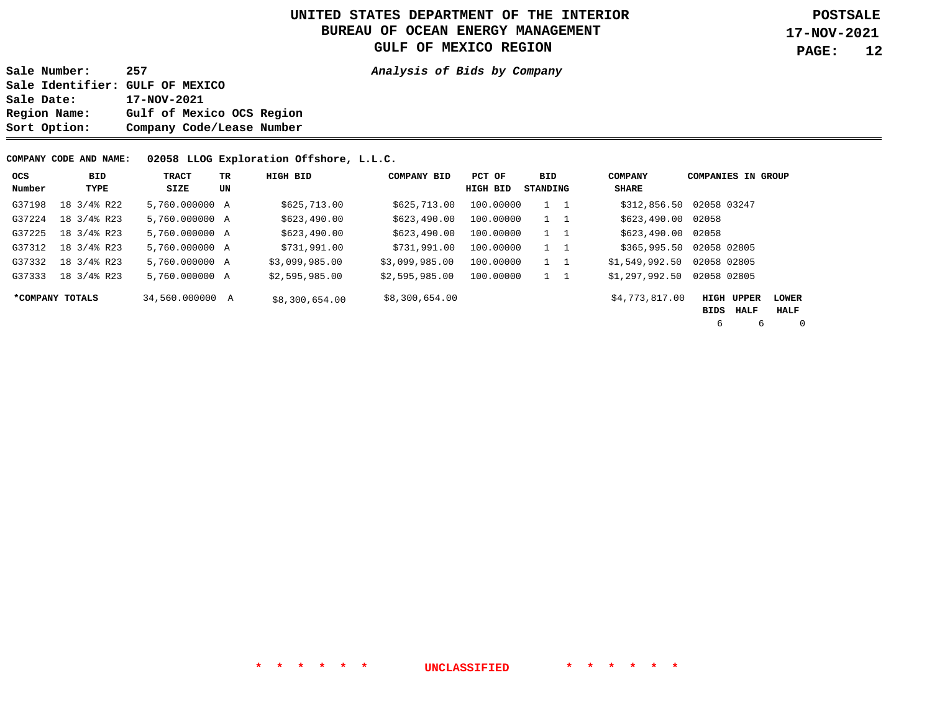**Sale Number: 257 Analysis of Bids by Company Sale Identifier: GULF OF MEXICO Sale Date: 17-NOV-2021 Region Name: Gulf of Mexico OCS Region Sort Option: Company Code/Lease Number** 

#### **COMPANY CODE AND NAME: 02058 LLOG Exploration Offshore, L.L.C.**

| ocs    | BID             | <b>TRACT</b>    | TR | HIGH BID       | <b>COMPANY BID</b> | PCT OF    | BID         | <b>COMPANY</b> | <b>COMPANIES IN GROUP</b> |                |
|--------|-----------------|-----------------|----|----------------|--------------------|-----------|-------------|----------------|---------------------------|----------------|
| Number | TYPE            | SIZE            | UN |                |                    | HIGH BID  | STANDING    | SHARE          |                           |                |
| G37198 | 18 3/4% R22     | 5,760,000000 A  |    | \$625,713.00   | \$625,713.00       | 100,00000 | $1\quad 1$  | \$312,856.50   | 02058 03247               |                |
| G37224 | 18 3/4% R23     | 5,760,000000 A  |    | \$623,490.00   | \$623,490.00       | 100.00000 | $1\quad 1$  | \$623,490.00   | 02058                     |                |
| G37225 | 18 3/4% R23     | 5,760,000000 A  |    | \$623,490.00   | \$623,490.00       | 100,00000 | 1 1         | \$623,490.00   | 02058                     |                |
| G37312 | 18 3/4% R23     | 5,760,000000 A  |    | \$731,991.00   | \$731,991.00       | 100.00000 | $1 \quad 1$ | \$365,995.50   | 02058 02805               |                |
| G37332 | 18 3/4% R23     | 5,760,000000 A  |    | \$3,099,985.00 | \$3,099,985.00     | 100.00000 | $1\quad 1$  | \$1,549,992.50 | 02058 02805               |                |
| G37333 | 18 3/4% R23     | 5,760,000000 A  |    | \$2,595,985.00 | \$2,595,985.00     | 100.00000 | $1\quad 1$  | \$1,297,992.50 | 02058 02805               |                |
|        | *COMPANY TOTALS | 34,560,000000 A |    | \$8,300,654.00 | \$8,300,654.00     |           |             | \$4,773,817.00 | <b>HIGH UPPER</b>         | <b>LOWER</b>   |
|        |                 |                 |    |                |                    |           |             |                | HALF<br>BIDS              | HALF           |
|        |                 |                 |    |                |                    |           |             |                | 6<br>6                    | $\overline{0}$ |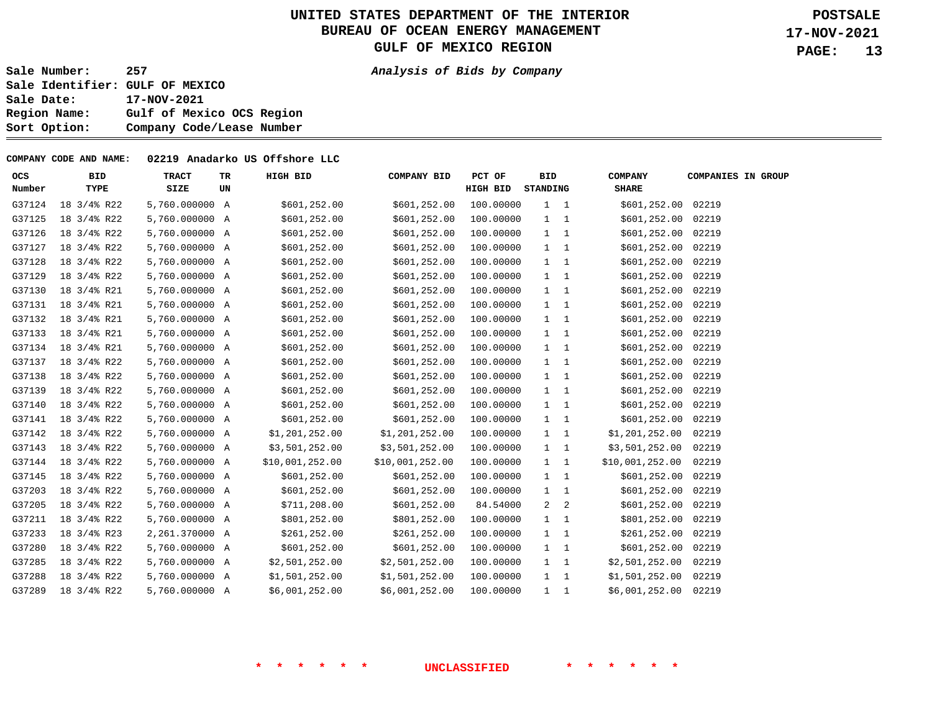**Sale Number: 257 Analysis of Bids by Company** 

**Sale Identifier: GULF OF MEXICO Sale Date: 17-NOV-2021 Region Name: Gulf of Mexico OCS Region Sort Option: Company Code/Lease Number** 

#### **COMPANY CODE AND NAME: 02219 Anadarko US Offshore LLC**

| ocs<br>Number | <b>BID</b><br>TYPE   | <b>TRACT</b><br>SIZE | TR<br>UN | HIGH BID        | COMPANY BID     | PCT OF<br><b>HIGH BID</b> | <b>BID</b><br><b>STANDING</b> |              | <b>COMPANY</b><br><b>SHARE</b> | <b>COMPANIES IN GROUP</b> |  |
|---------------|----------------------|----------------------|----------|-----------------|-----------------|---------------------------|-------------------------------|--------------|--------------------------------|---------------------------|--|
| G37124        | 18 3/4% R22          | 5,760.000000 A       |          | \$601,252.00    | \$601,252.00    | 100.00000                 |                               | $1 \quad 1$  | \$601,252.00 02219             |                           |  |
| G37125        | 18 3/4% R22          | 5,760.000000 A       |          | \$601,252.00    | \$601,252.00    | 100.00000                 |                               | $1 \quad 1$  | \$601,252.00 02219             |                           |  |
| G37126        | 18 3/4% R22          | 5,760.000000 A       |          | \$601,252.00    | \$601,252.00    | 100.00000                 |                               | $1 \quad 1$  | \$601,252.00 02219             |                           |  |
| G37127        | 18 3/4% R22          | 5,760.000000 A       |          | \$601,252.00    | \$601,252.00    | 100.00000                 |                               | $1 \quad 1$  | \$601,252.00 02219             |                           |  |
| G37128        | 18 3/4% R22          | 5,760.000000 A       |          | \$601,252.00    | \$601,252.00    | 100.00000                 | $1 \quad 1$                   |              | \$601,252.00 02219             |                           |  |
| G37129        | $18 \frac{3}{4}$ R22 | 5,760.000000 A       |          | \$601,252.00    | \$601,252.00    | 100.00000                 | $1 \quad 1$                   |              | \$601,252.00 02219             |                           |  |
| G37130        | 18 3/4% R21          | 5,760.000000 A       |          | \$601,252.00    | \$601,252.00    | 100.00000                 |                               | $1 \quad 1$  | \$601,252.00 02219             |                           |  |
| G37131        | 18 3/4% R21          | 5,760.000000 A       |          | \$601,252.00    | \$601,252.00    | 100.00000                 |                               | $1 \quad 1$  | \$601,252.00 02219             |                           |  |
| G37132        | 18 3/4% R21          | 5,760.000000 A       |          | \$601,252.00    | \$601,252.00    | 100.00000                 |                               | $1 \quad 1$  | \$601,252.00 02219             |                           |  |
| G37133        | 18 3/4% R21          | 5,760.000000 A       |          | \$601,252.00    | \$601,252.00    | 100.00000                 | $1 \quad 1$                   |              | \$601,252.00 02219             |                           |  |
| G37134        | 18 3/4% R21          | 5,760.000000 A       |          | \$601,252.00    | \$601, 252.00   | 100.00000                 | $1 \quad 1$                   |              | \$601,252.00 02219             |                           |  |
| G37137        | 18 3/4% R22          | 5,760.000000 A       |          | \$601,252.00    | \$601,252.00    | 100.00000                 | $1 \quad 1$                   |              | \$601,252.00                   | 02219                     |  |
| G37138        | 18 3/4% R22          | 5,760.000000 A       |          | \$601,252.00    | \$601, 252.00   | 100.00000                 | $1 \quad 1$                   |              | \$601,252.00 02219             |                           |  |
| G37139        | 18 3/4% R22          | 5,760.000000 A       |          | \$601,252.00    | \$601, 252.00   | 100.00000                 | $1 \quad 1$                   |              | \$601,252.00 02219             |                           |  |
| G37140        | 18 3/4% R22          | 5,760.000000 A       |          | \$601,252.00    | \$601,252.00    | 100.00000                 |                               | $1 \quad 1$  | \$601,252.00 02219             |                           |  |
| G37141        | 18 3/4% R22          | 5,760.000000 A       |          | \$601,252.00    | \$601,252.00    | 100.00000                 | $1 \quad 1$                   |              | \$601,252.00 02219             |                           |  |
| G37142        | 18 3/4% R22          | 5,760.000000 A       |          | \$1,201,252.00  | \$1,201,252.00  | 100.00000                 |                               | $1 \quad 1$  | \$1,201,252.00                 | 02219                     |  |
| G37143        | 18 3/4% R22          | 5,760.000000 A       |          | \$3,501,252.00  | \$3,501,252.00  | 100.00000                 |                               | $1 \quad 1$  | \$3,501,252.00                 | 02219                     |  |
| G37144        | 18 3/4% R22          | 5,760.000000 A       |          | \$10,001,252.00 | \$10,001,252.00 | 100.00000                 |                               | $1 \quad 1$  | \$10,001,252.00                | 02219                     |  |
| G37145        | 18 3/4% R22          | 5,760.000000 A       |          | \$601,252.00    | \$601,252.00    | 100.00000                 |                               | $1\quad 1$   | \$601,252.00                   | 02219                     |  |
| G37203        | 18 3/4% R22          | 5,760.000000 A       |          | \$601,252.00    | \$601, 252.00   | 100.00000                 |                               | $1 \quad 1$  | \$601,252.00 02219             |                           |  |
| G37205        | 18 3/4% R22          | 5,760.000000 A       |          | \$711,208.00    | \$601,252.00    | 84.54000                  | 2                             | 2            | \$601,252.00                   | 02219                     |  |
| G37211        | 18 3/4% R22          | 5,760.000000 A       |          | \$801,252.00    | \$801,252.00    | 100.00000                 |                               | $1 \quad 1$  | \$801,252.00 02219             |                           |  |
| G37233        | 18 3/4% R23          | 2,261.370000 A       |          | \$261,252.00    | \$261, 252.00   | 100.00000                 | $1 \quad 1$                   |              | \$261,252.00 02219             |                           |  |
| G37280        | 18 3/4% R22          | 5,760.000000 A       |          | \$601,252.00    | \$601,252.00    | 100.00000                 | $1 \quad 1$                   |              | \$601,252.00 02219             |                           |  |
| G37285        | 18 3/4% R22          | 5,760.000000 A       |          | \$2,501,252.00  | \$2,501,252.00  | 100.00000                 |                               | $1 \quad 1$  | \$2,501,252.00                 | 02219                     |  |
| G37288        | $18 \frac{3}{4}$ R22 | 5,760.000000 A       |          | \$1,501,252.00  | \$1,501,252.00  | 100.00000                 |                               | $1 \quad 1$  | \$1,501,252.00                 | 02219                     |  |
| G37289        | 18 3/4% R22          | 5,760.000000 A       |          | \$6,001,252.00  | \$6,001,252.00  | 100.00000                 | $\mathbf{1}$                  | $\mathbf{1}$ | \$6,001,252.00                 | 02219                     |  |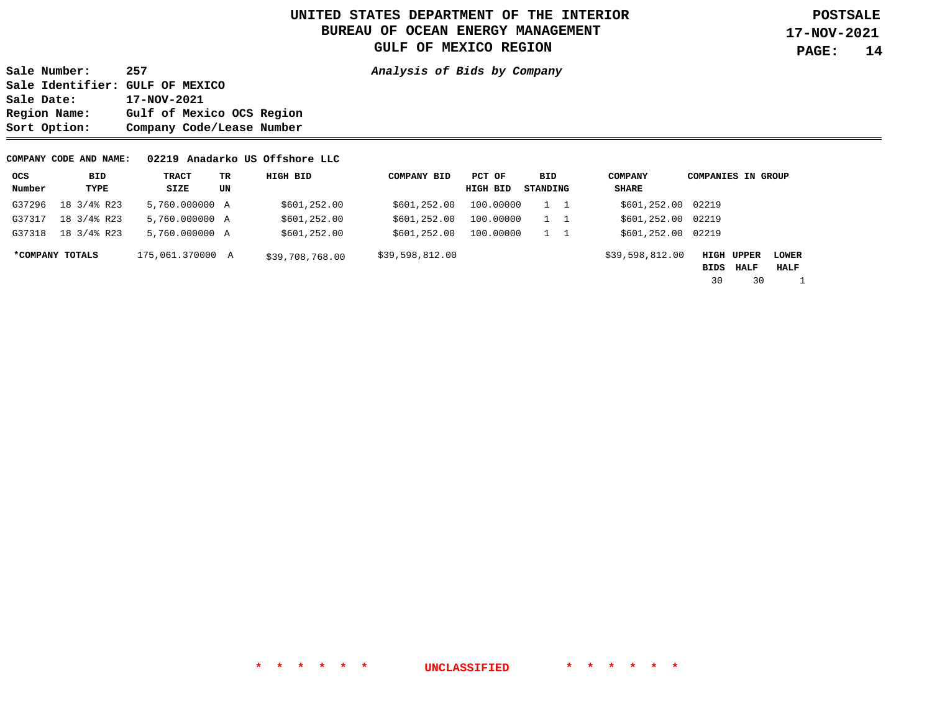**Sale Number: 257 Analysis of Bids by Company Sale Identifier: GULF OF MEXICO Sale Date: 17-NOV-2021 Region Name: Gulf of Mexico OCS Region Sort Option: Company Code/Lease Number** 

#### **COMPANY CODE AND NAME: 02219 Anadarko US Offshore LLC**

| ocs    | BID             | TRACT            | ТR | HIGH BID        | <b>COMPANY BID</b> | PCT OF    | BID      | <b>COMPANY</b>     | <b>COMPANIES IN GROUP</b> |      |                      |
|--------|-----------------|------------------|----|-----------------|--------------------|-----------|----------|--------------------|---------------------------|------|----------------------|
| Number | TYPE            | SIZE             | UN |                 |                    | HIGH BID  | STANDING | <b>SHARE</b>       |                           |      |                      |
| G37296 | 18 3/4% R23     | 5,760.000000 A   |    | \$601,252.00    | \$601, 252.00      | 100,00000 |          | \$601,252.00 02219 |                           |      |                      |
| G37317 | 18 3/4% R23     | 5,760.000000 A   |    | \$601,252.00    | \$601, 252.00      | 100.00000 |          | \$601,252.00 02219 |                           |      |                      |
| G37318 | 18 3/4% R23     | 5,760,000000 A   |    | \$601,252.00    | \$601, 252.00      | 100,00000 |          | \$601,252.00 02219 |                           |      |                      |
|        | *COMPANY TOTALS | 175,061,370000 A |    | \$39,708,768.00 | \$39,598,812.00    |           |          | \$39,598,812.00    | HIGH UPPER<br>BIDS        | HALF | <b>LOWER</b><br>HALF |
|        |                 |                  |    |                 |                    |           |          |                    | 30                        | 30   |                      |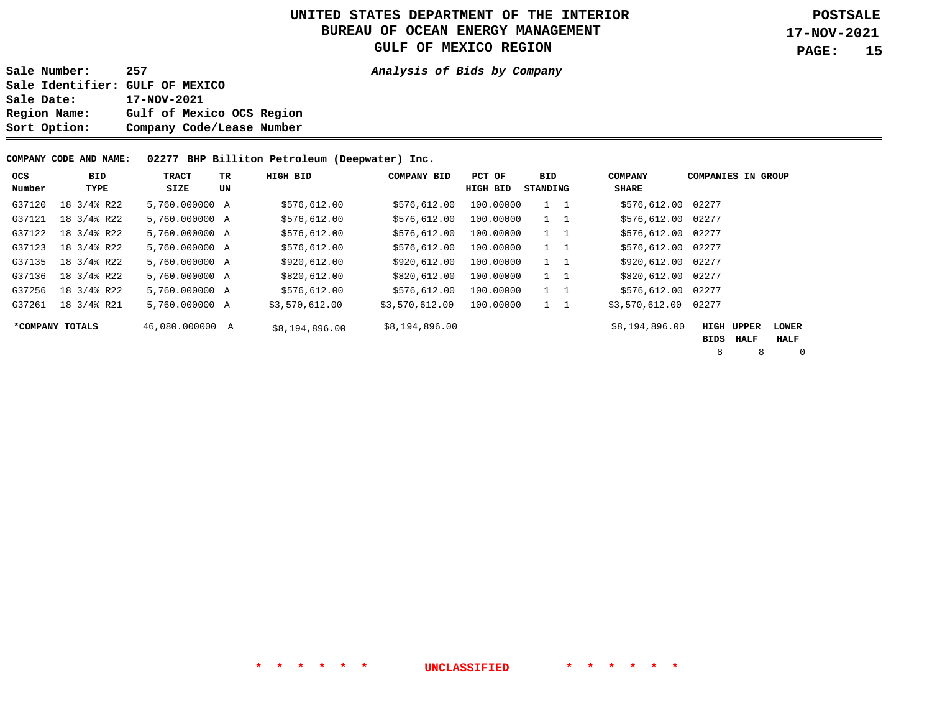**Sale Number: 257 Analysis of Bids by Company** 

**Sale Identifier: GULF OF MEXICO Sale Date: 17-NOV-2021 Region Name: Gulf of Mexico OCS Region Sort Option: Company Code/Lease Number** 

**COMPANY CODE AND NAME: 02277 BHP Billiton Petroleum (Deepwater) Inc.** 

| <b>OCS</b> | <b>BID</b>      | TRACT           | TR | HIGH BID       | <b>COMPANY BID</b> | PCT OF    | BID         | <b>COMPANY</b>     | <b>COMPANIES IN GROUP</b> |                   |              |
|------------|-----------------|-----------------|----|----------------|--------------------|-----------|-------------|--------------------|---------------------------|-------------------|--------------|
| Number     | TYPE            | SIZE            | UN |                |                    | HIGH BID  | STANDING    | <b>SHARE</b>       |                           |                   |              |
| G37120     | 18 3/4% R22     | 5,760.000000 A  |    | \$576,612.00   | \$576,612.00       | 100,00000 | $1\quad 1$  | \$576,612.00 02277 |                           |                   |              |
| G37121     | 18 3/4% R22     | 5,760.000000 A  |    | \$576,612.00   | \$576,612.00       | 100.00000 | $1\quad 1$  | \$576,612.00 02277 |                           |                   |              |
| G37122     | 18 3/4% R22     | 5,760.000000 A  |    | \$576,612.00   | \$576,612.00       | 100,00000 | $1\quad 1$  | \$576,612.00 02277 |                           |                   |              |
| G37123     | 18 3/4% R22     | 5,760.000000 A  |    | \$576,612.00   | \$576,612.00       | 100.00000 | $1 \quad 1$ | \$576,612.00 02277 |                           |                   |              |
| G37135     | 18 3/4% R22     | 5,760.000000 A  |    | \$920,612.00   | \$920,612.00       | 100.00000 | $1\quad 1$  | \$920,612.00 02277 |                           |                   |              |
| G37136     | 18 3/4% R22     | 5,760.000000 A  |    | \$820,612.00   | \$820,612.00       | 100.00000 | $1 \quad 1$ | \$820,612.00 02277 |                           |                   |              |
| G37256     | 18 3/4% R22     | 5,760.000000 A  |    | \$576,612.00   | \$576,612.00       | 100,00000 | $1 \quad 1$ | \$576,612.00       | 02277                     |                   |              |
| G37261     | 18 3/4% R21     | 5,760.000000 A  |    | \$3,570,612.00 | \$3,570,612.00     | 100,00000 | $1\quad 1$  | \$3,570,612.00     | 02277                     |                   |              |
|            | *COMPANY TOTALS | 46,080.000000 A |    | \$8,194,896.00 | \$8,194,896.00     |           |             | \$8,194,896.00     |                           | <b>HIGH UPPER</b> | <b>LOWER</b> |
|            |                 |                 |    |                |                    |           |             |                    | BIDS                      | HALF              | HALF         |
|            |                 |                 |    |                |                    |           |             |                    | 8                         | 8                 | $\mathbf 0$  |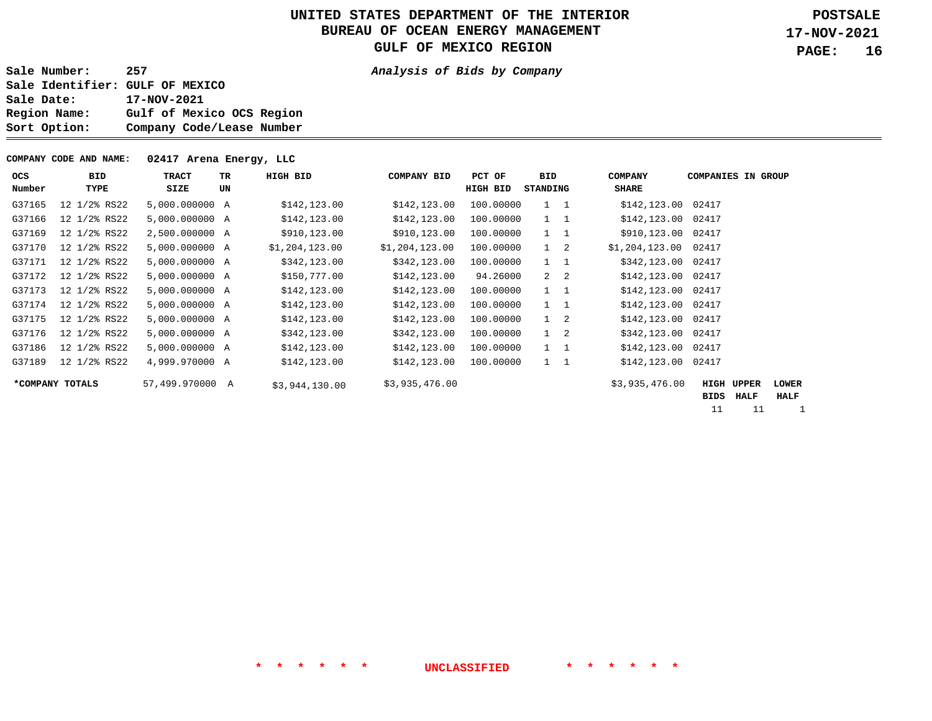**Sale Number: 257 Analysis of Bids by Company Sale Identifier: GULF OF MEXICO**  Sale Date: 17-NOV-2021<br>Region Name: Gulf of Mex: Gulf of Mexico OCS Region **Sort Option: Company Code/Lease Number** 

**COMPANY CODE AND NAME: 02417 Arena Energy, LLC** 

| <b>OCS</b><br>Number | <b>BID</b><br>TYPE | TRACT<br>SIZE   | TR<br>UN | HIGH BID       | <b>COMPANY BID</b> | PCT OF<br>HIGH BID | <b>BID</b><br>STANDING | <b>COMPANY</b><br><b>SHARE</b> | <b>COMPANIES IN</b><br><b>GROUP</b>                                     |
|----------------------|--------------------|-----------------|----------|----------------|--------------------|--------------------|------------------------|--------------------------------|-------------------------------------------------------------------------|
| G37165               | 12 1/2% RS22       | 5,000.000000 A  |          | \$142, 123.00  | \$142, 123.00      | 100.00000          | $1\quad 1$             | \$142,123.00 02417             |                                                                         |
| G37166               | 12 1/2% RS22       | 5,000.000000 A  |          | \$142, 123.00  | \$142, 123.00      | 100.00000          | $1 \quad 1$            | \$142, 123.00                  | 02417                                                                   |
| G37169               | 12 1/2% RS22       | 2,500.000000 A  |          | \$910,123.00   | \$910,123.00       | 100.00000          | $1 \quad 1$            | \$910,123.00                   | 02417                                                                   |
| G37170               | 12 1/2% RS22       | 5,000.000000 A  |          | \$1,204,123.00 | \$1,204,123.00     | 100.00000          | $1 \quad 2$            | \$1,204,123.00                 | 02417                                                                   |
| G37171               | 12 1/2% RS22       | 5,000.000000 A  |          | \$342,123.00   | \$342,123.00       | 100.00000          | $1 \quad 1$            | \$342,123.00                   | 02417                                                                   |
| G37172               | 12 1/2% RS22       | 5,000.000000 A  |          | \$150,777.00   | \$142, 123.00      | 94.26000           | $2 \quad 2$            | \$142, 123.00                  | 02417                                                                   |
| G37173               | 12 1/2% RS22       | 5,000,000000 A  |          | \$142, 123.00  | \$142, 123.00      | 100.00000          | $1 \quad 1$            | \$142, 123.00                  | 02417                                                                   |
| G37174               | 12 1/2% RS22       | 5,000.000000 A  |          | \$142, 123.00  | \$142, 123.00      | 100.00000          | $1\quad 1$             | \$142,123.00                   | 02417                                                                   |
| G37175               | 12 1/2% RS22       | 5,000.000000 A  |          | \$142, 123.00  | \$142, 123.00      | 100.00000          | $1 \quad 2$            | \$142,123.00                   | 02417                                                                   |
| G37176               | 12 1/2% RS22       | 5,000.000000 A  |          | \$342,123.00   | \$342,123.00       | 100.00000          | $1 \quad 2$            | \$342,123.00                   | 02417                                                                   |
| G37186               | 12 1/2% RS22       | 5,000.000000 A  |          | \$142, 123.00  | \$142, 123.00      | 100.00000          | $1 \quad 1$            | \$142, 123.00                  | 02417                                                                   |
| G37189               | 12 1/2% RS22       | 4,999.970000 A  |          | \$142, 123.00  | \$142, 123.00      | 100.00000          | $1 \quad 1$            | \$142,123.00                   | 02417                                                                   |
|                      | *COMPANY TOTALS    | 57,499.970000 A |          | \$3,944,130.00 | \$3,935,476.00     |                    |                        | \$3,935,476.00                 | <b>HIGH UPPER</b><br><b>LOWER</b><br><b>HALF</b><br><b>HALF</b><br>BIDS |

11 11 1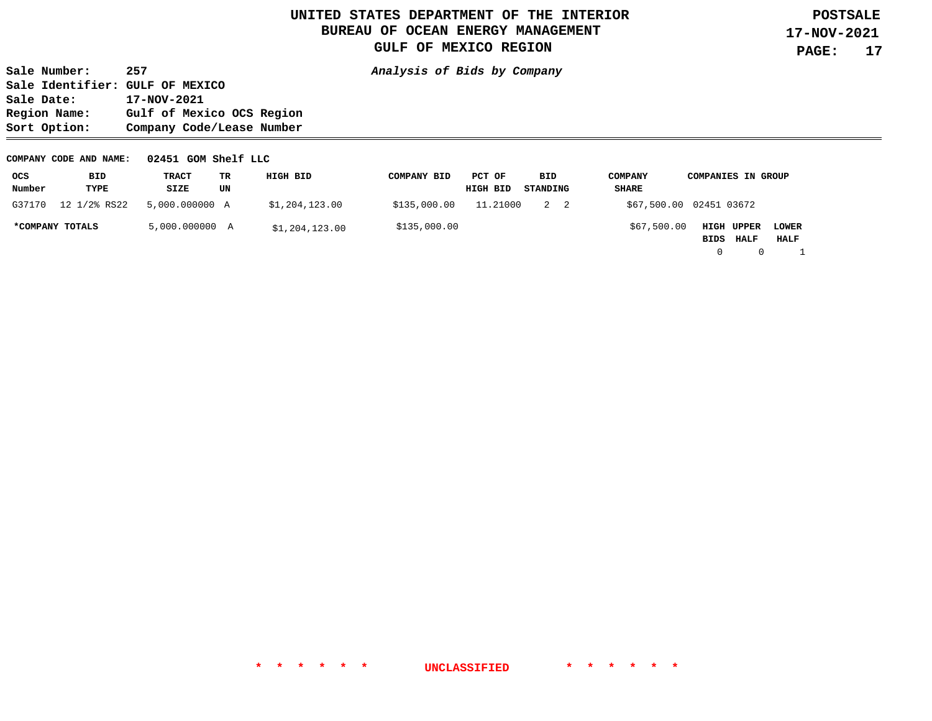**Sale Number: 257 Analysis of Bids by Company Sale Identifier: GULF OF MEXICO**  Sale Date: 17-NOV-2021<br>Region Name: Gulf of Mex: Gulf of Mexico OCS Region **Sort Option: Company Code/Lease Number** 

#### **COMPANY CODE AND NAME: 02451 GOM Shelf LLC**

| ocs             | <b>BID</b>   | TRACT          | TR | HIGH BID       | <b>COMPANY BID</b> | PCT OF   | BID      | <b>COMPANY</b> | <b>COMPANIES IN GROUP</b>                                        |
|-----------------|--------------|----------------|----|----------------|--------------------|----------|----------|----------------|------------------------------------------------------------------|
| Number          | TYPE         | SIZE           | UN |                |                    | HIGH BID | STANDING | SHARE          |                                                                  |
| G37170          | 12 1/2% RS22 | 5,000.000000 A |    | \$1,204,123.00 | \$135,000.00       | 11.21000 | 2 2      |                | \$67,500.00 02451 03672                                          |
| *COMPANY TOTALS |              | 5,000.000000 A |    | \$1,204,123.00 | \$135,000.00       |          |          | \$67,500.00    | <b>HIGH UPPER</b><br><b>LOWER</b><br><b>HALF</b><br>HALF<br>BIDS |

0 0 1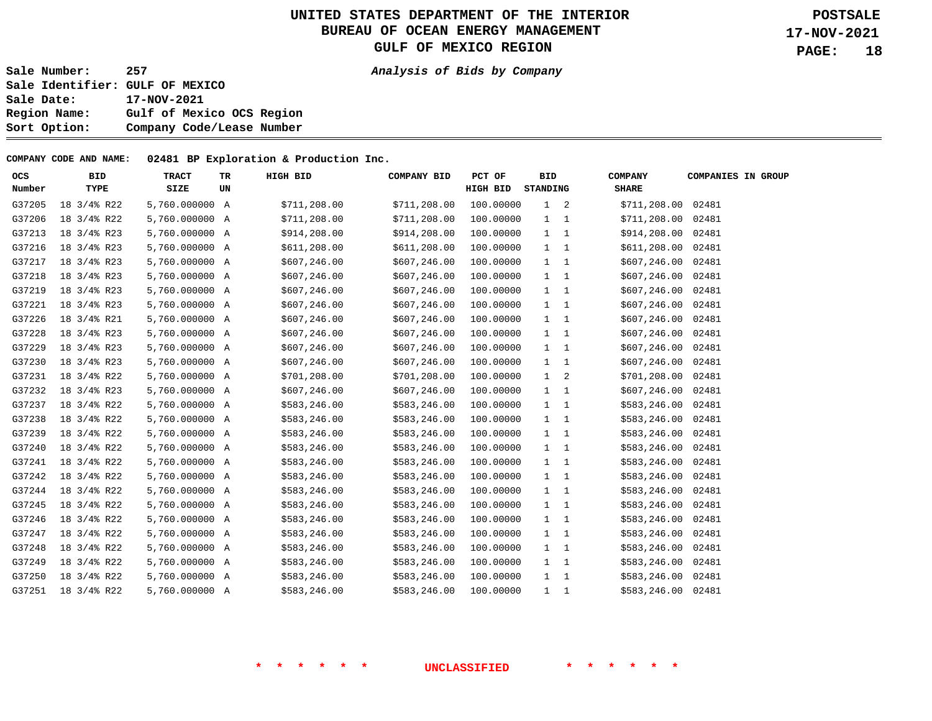**Sale Number: 257 Analysis of Bids by Company Sale Identifier: GULF OF MEXICO Sale Date: 17-NOV-2021 Region Name: Gulf of Mexico OCS Region Sort Option: Company Code/Lease Number** 

#### **COMPANY CODE AND NAME: 02481 BP Exploration & Production Inc.**

| <b>OCS</b> | <b>BID</b>  | <b>TRACT</b>   | TR | HIGH BID      | COMPANY BID   | PCT OF    | <b>BID</b>   |   | <b>COMPANY</b>     | <b>COMPANIES IN GROUP</b> |  |
|------------|-------------|----------------|----|---------------|---------------|-----------|--------------|---|--------------------|---------------------------|--|
| Number     | TYPE        | SIZE           | UN |               |               | HIGH BID  | STANDING     |   | <b>SHARE</b>       |                           |  |
| G37205     | 18 3/4% R22 | 5,760.000000 A |    | \$711, 208.00 | \$711,208.00  | 100.00000 | $1 \quad 2$  |   | \$711,208.00 02481 |                           |  |
| G37206     | 18 3/4% R22 | 5,760.000000 A |    | \$711, 208.00 | \$711,208.00  | 100.00000 | $1 \quad 1$  |   | \$711,208.00       | 02481                     |  |
| G37213     | 18 3/4% R23 | 5,760.000000 A |    | \$914,208.00  | \$914,208.00  | 100.00000 | $1 \quad 1$  |   | \$914,208.00 02481 |                           |  |
| G37216     | 18 3/4% R23 | 5,760.000000 A |    | \$611, 208.00 | \$611,208.00  | 100.00000 | $1 \quad 1$  |   | \$611, 208.00      | 02481                     |  |
| G37217     | 18 3/4% R23 | 5,760.000000 A |    | \$607, 246.00 | \$607, 246.00 | 100.00000 | $1 \quad 1$  |   | \$607,246.00       | 02481                     |  |
| G37218     | 18 3/4% R23 | 5,760.000000 A |    | \$607, 246.00 | \$607, 246.00 | 100.00000 | $1 \quad 1$  |   | \$607,246.00       | 02481                     |  |
| G37219     | 18 3/4% R23 | 5,760.000000 A |    | \$607,246.00  | \$607,246.00  | 100.00000 | $1 \quad 1$  |   | \$607,246.00       | 02481                     |  |
| G37221     | 18 3/4% R23 | 5,760.000000 A |    | \$607,246.00  | \$607,246.00  | 100.00000 | $1 \quad 1$  |   | \$607,246.00       | 02481                     |  |
| G37226     | 18 3/4% R21 | 5,760.000000 A |    | \$607, 246.00 | \$607, 246.00 | 100.00000 | $1 \quad 1$  |   | \$607,246.00 02481 |                           |  |
| G37228     | 18 3/4% R23 | 5,760.000000 A |    | \$607, 246.00 | \$607, 246.00 | 100.00000 | $1 \quad 1$  |   | \$607,246.00       | 02481                     |  |
| G37229     | 18 3/4% R23 | 5,760.000000 A |    | \$607, 246.00 | \$607, 246.00 | 100.00000 | $1 \quad 1$  |   | \$607,246.00       | 02481                     |  |
| G37230     | 18 3/4% R23 | 5,760.000000 A |    | \$607,246.00  | \$607,246.00  | 100.00000 | $1 \quad 1$  |   | \$607,246.00       | 02481                     |  |
| G37231     | 18 3/4% R22 | 5,760.000000 A |    | \$701, 208.00 | \$701,208.00  | 100.00000 | $\mathbf{1}$ | 2 | \$701,208.00 02481 |                           |  |
| G37232     | 18 3/4% R23 | 5,760.000000 A |    | \$607, 246.00 | \$607,246.00  | 100.00000 | $1 \quad 1$  |   | \$607,246.00       | 02481                     |  |
| G37237     | 18 3/4% R22 | 5,760.000000 A |    | \$583,246.00  | \$583,246.00  | 100.00000 | $1 \quad 1$  |   | \$583,246.00 02481 |                           |  |
| G37238     | 18 3/4% R22 | 5,760.000000 A |    | \$583,246.00  | \$583,246.00  | 100.00000 | $1 \quad 1$  |   | \$583,246.00       | 02481                     |  |
| G37239     | 18 3/4% R22 | 5,760.000000 A |    | \$583,246.00  | \$583,246.00  | 100.00000 | $1\quad 1$   |   | \$583,246.00 02481 |                           |  |
| G37240     | 18 3/4% R22 | 5,760.000000 A |    | \$583,246.00  | \$583,246.00  | 100.00000 | 1 1          |   | \$583,246.00 02481 |                           |  |
| G37241     | 18 3/4% R22 | 5,760.000000 A |    | \$583,246.00  | \$583,246.00  | 100.00000 | $1 \quad 1$  |   | \$583,246.00 02481 |                           |  |
| G37242     | 18 3/4% R22 | 5,760.000000 A |    | \$583,246.00  | \$583,246.00  | 100.00000 | $1 \quad 1$  |   | \$583,246.00       | 02481                     |  |
| G37244     | 18 3/4% R22 | 5,760.000000 A |    | \$583,246.00  | \$583,246.00  | 100.00000 | $1 \quad 1$  |   | \$583,246.00 02481 |                           |  |
| G37245     | 18 3/4% R22 | 5,760.000000 A |    | \$583,246.00  | \$583,246.00  | 100.00000 | $1 \quad 1$  |   | \$583,246.00       | 02481                     |  |
| G37246     | 18 3/4% R22 | 5,760.000000 A |    | \$583,246.00  | \$583,246.00  | 100.00000 | $1 \quad 1$  |   | \$583,246.00 02481 |                           |  |
| G37247     | 18 3/4% R22 | 5,760.000000 A |    | \$583,246.00  | \$583,246.00  | 100.00000 | $1 \quad 1$  |   | \$583,246.00       | 02481                     |  |
| G37248     | 18 3/4% R22 | 5,760.000000 A |    | \$583,246.00  | \$583,246.00  | 100.00000 | $1 \quad 1$  |   | \$583,246.00 02481 |                           |  |
| G37249     | 18 3/4% R22 | 5,760.000000 A |    | \$583,246.00  | \$583,246.00  | 100.00000 | $1 \quad 1$  |   | \$583,246.00 02481 |                           |  |
| G37250     | 18 3/4% R22 | 5,760.000000 A |    | \$583,246.00  | \$583,246.00  | 100.00000 | $1 \quad 1$  |   | \$583,246.00 02481 |                           |  |
| G37251     | 18 3/4% R22 | 5,760,000000 A |    | \$583, 246.00 | \$583,246.00  | 100.00000 | $1\quad 1$   |   | \$583,246.00 02481 |                           |  |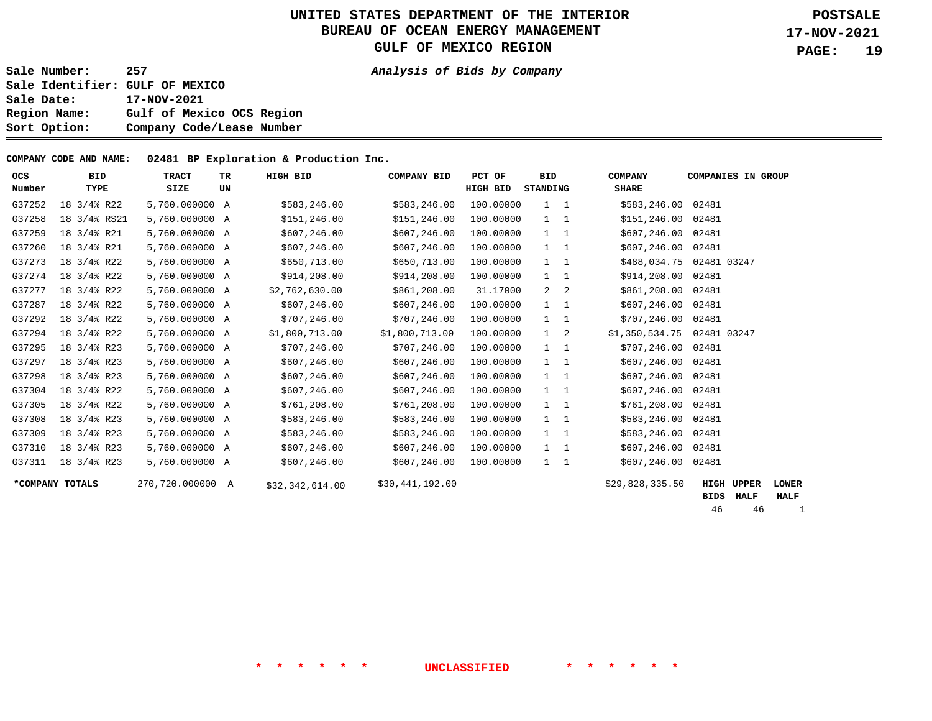**Sale Number: 257 Analysis of Bids by Company Sale Identifier: GULF OF MEXICO Sale Date: 17-NOV-2021 Region Name: Gulf of Mexico OCS Region Sort Option: Company Code/Lease Number** 

**COMPANY CODE AND NAME: 02481 BP Exploration & Production Inc.** 

| ocs    | <b>BID</b>           | <b>TRACT</b>     | TR | HIGH BID        | <b>COMPANY BID</b> | PCT OF          | <b>BID</b>  | <b>COMPANY</b>     | <b>COMPANIES IN GROUP</b> |              |
|--------|----------------------|------------------|----|-----------------|--------------------|-----------------|-------------|--------------------|---------------------------|--------------|
| Number | TYPE                 | SIZE             | UN |                 |                    | <b>HIGH BID</b> | STANDING    | <b>SHARE</b>       |                           |              |
| G37252 | 18 3/4% R22          | 5,760.000000 A   |    | \$583,246.00    | \$583,246.00       | 100.00000       | $1\quad 1$  | \$583,246.00       | 02481                     |              |
| G37258 | 18 3/4% RS21         | 5,760.000000 A   |    | \$151,246.00    | \$151, 246.00      | 100.00000       | $1\quad 1$  | \$151,246.00 02481 |                           |              |
| G37259 | 18 3/4% R21          | 5,760.000000 A   |    | \$607,246.00    | \$607, 246.00      | 100.00000       | $1\quad 1$  | \$607, 246.00      | 02481                     |              |
| G37260 | 18 3/4% R21          | 5,760.000000 A   |    | \$607,246.00    | \$607,246.00       | 100.00000       | $1\quad 1$  | \$607, 246.00      | 02481                     |              |
| G37273 | 18 3/4% R22          | 5,760.000000 A   |    | \$650,713.00    | \$650,713.00       | 100.00000       | $1 \quad 1$ | \$488,034.75       | 02481 03247               |              |
| G37274 | 18 3/4% R22          | 5,760.000000 A   |    | \$914,208.00    | \$914,208.00       | 100.00000       | $1\quad 1$  | \$914,208.00       | 02481                     |              |
| G37277 | 18 3/4% R22          | 5,760.000000 A   |    | \$2,762,630.00  | \$861,208.00       | 31.17000        | $2 \quad 2$ | \$861,208.00       | 02481                     |              |
| G37287 | $18 \frac{3}{4}$ R22 | 5,760.000000 A   |    | \$607,246.00    | \$607, 246.00      | 100.00000       | $1 \quad 1$ | \$607,246.00       | 02481                     |              |
| G37292 | $18 \frac{3}{4}$ R22 | 5,760.000000 A   |    | \$707,246.00    | \$707, 246.00      | 100.00000       | $1\quad 1$  | \$707,246.00       | 02481                     |              |
| G37294 | 18 3/4% R22          | 5,760.000000 A   |    | \$1,800,713.00  | \$1,800,713.00     | 100.00000       | $1 \quad 2$ | \$1,350,534.75     | 02481 03247               |              |
| G37295 | 18 3/4% R23          | 5,760.000000 A   |    | \$707,246.00    | \$707, 246.00      | 100.00000       | $1\quad 1$  | \$707,246.00       | 02481                     |              |
| G37297 | 18 3/4% R23          | 5,760.000000 A   |    | \$607,246.00    | \$607,246.00       | 100.00000       | $1\quad 1$  | \$607, 246.00      | 02481                     |              |
| G37298 | 18 3/4% R23          | 5,760.000000 A   |    | \$607, 246.00   | \$607, 246.00      | 100.00000       | $1 \quad 1$ | \$607,246.00       | 02481                     |              |
| G37304 | 18 3/4% R22          | 5,760.000000 A   |    | \$607,246.00    | \$607, 246.00      | 100.00000       | $1 \quad 1$ | \$607, 246.00      | 02481                     |              |
| G37305 | $18 \frac{3}{4}$ R22 | 5,760.000000 A   |    | \$761,208.00    | \$761, 208.00      | 100.00000       | $1\quad 1$  | \$761,208.00       | 02481                     |              |
| G37308 | 18 3/4% R23          | 5,760.000000 A   |    | \$583,246.00    | \$583,246.00       | 100.00000       | $1\quad 1$  | \$583,246.00       | 02481                     |              |
| G37309 | 18 3/4% R23          | 5,760.000000 A   |    | \$583,246.00    | \$583,246.00       | 100.00000       | $1\quad 1$  | \$583,246.00       | 02481                     |              |
| G37310 | 18 3/4% R23          | 5,760.000000 A   |    | \$607, 246.00   | \$607, 246.00      | 100.00000       | $1 \quad 1$ | \$607,246.00       | 02481                     |              |
| G37311 | 18 3/4% R23          | 5,760.000000 A   |    | \$607, 246.00   | \$607, 246.00      | 100.00000       | $1 \quad 1$ | \$607,246.00       | 02481                     |              |
|        | *COMPANY TOTALS      | 270,720.000000 A |    | \$32,342,614.00 | \$30,441,192.00    |                 |             | \$29,828,335.50    | HIGH<br><b>UPPER</b>      | <b>LOWER</b> |
|        |                      |                  |    |                 |                    |                 |             |                    | BIDS<br>HALF              | <b>HALF</b>  |

46 46 1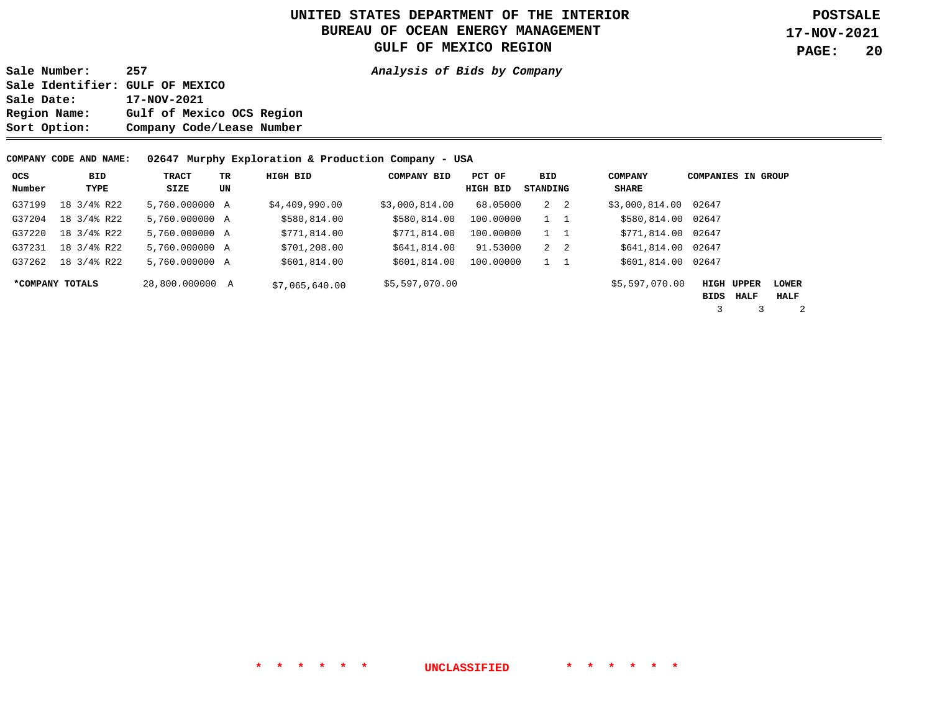**Sale Number: 257 Analysis of Bids by Company Sale Identifier: GULF OF MEXICO Sale Date: 17-NOV-2021 Region Name: Gulf of Mexico OCS Region Sort Option: Company Code/Lease Number** 

**COMPANY CODE AND NAME: 02647 Murphy Exploration & Production Company - USA** 

| ocs<br>Number | BID<br>TYPE     | TRACT<br>SIZE   | TR.<br>UN | HIGH BID       | <b>COMPANY BID</b> | PCT OF<br>HIGH BID | BID<br>STANDING | <b>COMPANY</b><br>SHARE | <b>COMPANIES IN GROUP</b> |                   |              |
|---------------|-----------------|-----------------|-----------|----------------|--------------------|--------------------|-----------------|-------------------------|---------------------------|-------------------|--------------|
| G37199        | 18 3/4% R22     | 5,760.000000 A  |           | \$4,409,990.00 | \$3,000,814.00     | 68.05000           | $2 \quad 2$     | \$3,000,814.00          | 02647                     |                   |              |
| G37204        | 18 3/4% R22     | 5,760,000000 A  |           | \$580,814.00   | \$580,814.00       | 100.00000          | $1\quad 1$      | \$580,814.00            | 02647                     |                   |              |
| G37220        | 18 3/4% R22     | 5,760,000000 A  |           | \$771,814.00   | \$771,814.00       | 100.00000          | $1 \quad 1$     | \$771,814.00            | 02647                     |                   |              |
| G37231        | 18 3/4% R22     | 5,760,000000 A  |           | \$701,208.00   | \$641,814.00       | 91.53000           | $2 \quad 2$     | \$641,814.00            | 02647                     |                   |              |
| G37262        | 18 3/4% R22     | 5,760,000000 A  |           | \$601,814.00   | \$601,814.00       | 100.00000          | $\mathbf{1}$    | \$601,814.00            | 02647                     |                   |              |
|               | *COMPANY TOTALS | 28,800,000000 A |           | \$7,065,640.00 | \$5,597,070.00     |                    |                 | \$5,597,070.00          |                           | <b>HIGH UPPER</b> | <b>LOWER</b> |
|               |                 |                 |           |                |                    |                    |                 |                         | BIDS                      | <b>HALF</b>       | HALF         |
|               |                 |                 |           |                |                    |                    |                 |                         |                           |                   |              |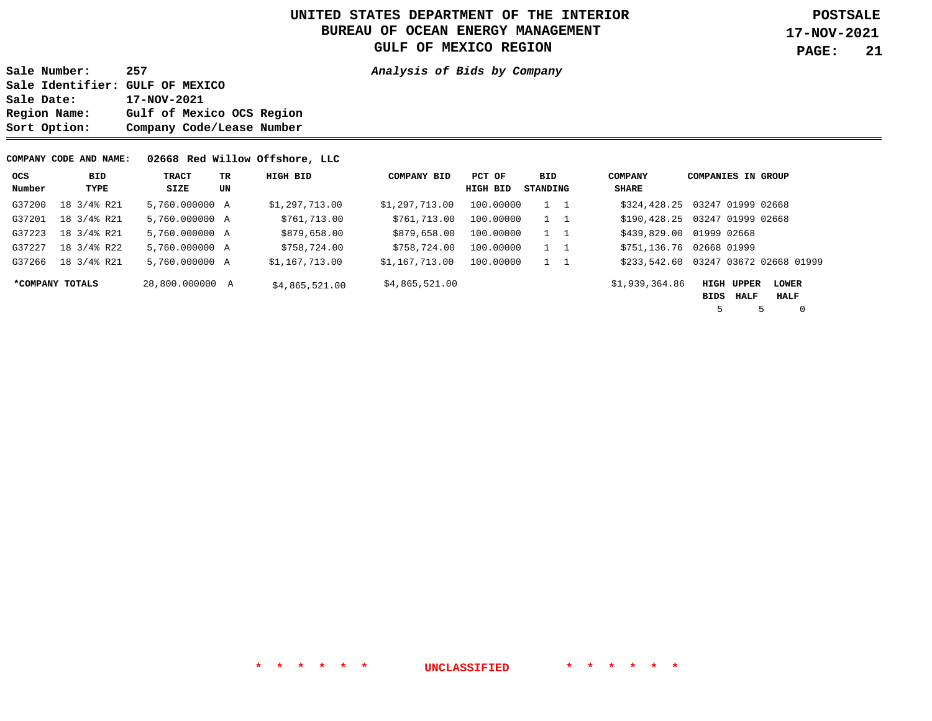**Sale Number: 257 Analysis of Bids by Company Sale Identifier: GULF OF MEXICO Sale Date: 17-NOV-2021 Region Name: Gulf of Mexico OCS Region Sort Option: Company Code/Lease Number** 

#### **COMPANY CODE AND NAME: 02668 Red Willow Offshore, LLC**

| <b>OCS</b> | BID             | TRACT           | TR. | HIGH BID       | <b>COMPANY BID</b> | PCT OF    | BID        | <b>COMPANY</b>           | <b>COMPANIES IN GROUP</b>      |                                      |
|------------|-----------------|-----------------|-----|----------------|--------------------|-----------|------------|--------------------------|--------------------------------|--------------------------------------|
| Number     | TYPE            | SIZE            | UN  |                |                    | HIGH BID  | STANDING   | SHARE                    |                                |                                      |
| G37200     | 18 3/4% R21     | 5,760.000000 A  |     | \$1,297,713.00 | \$1,297,713.00     | 100.00000 | 1 1        |                          | \$324,428.25 03247 01999 02668 |                                      |
| G37201     | 18 3/4% R21     | 5,760.000000 A  |     | \$761,713.00   | \$761,713.00       | 100.00000 | 1 1        |                          | \$190,428.25 03247 01999 02668 |                                      |
| G37223     | 18 3/4% R21     | 5,760.000000 A  |     | \$879,658.00   | \$879,658.00       | 100.00000 | $1\quad 1$ | \$439,829.00 01999 02668 |                                |                                      |
| G37227     | 18 3/4% R22     | 5,760,000000 A  |     | \$758,724.00   | \$758,724.00       | 100,00000 | 1 1        | \$751,136.76             | 02668 01999                    |                                      |
| G37266     | 18 3/4% R21     | 5,760,000000 A  |     | \$1,167,713.00 | \$1,167,713.00     | 100.00000 | $1\quad 1$ |                          |                                | \$233,542.60 03247 03672 02668 01999 |
|            | *COMPANY TOTALS | 28,800.000000 A |     | \$4,865,521.00 | \$4,865,521.00     |           |            | \$1,939,364.86           | <b>HIGH UPPER</b>              | <b>LOWER</b>                         |
|            |                 |                 |     |                |                    |           |            |                          | HALF<br>BIDS                   | HALF                                 |
|            |                 |                 |     |                |                    |           |            |                          |                                | 0                                    |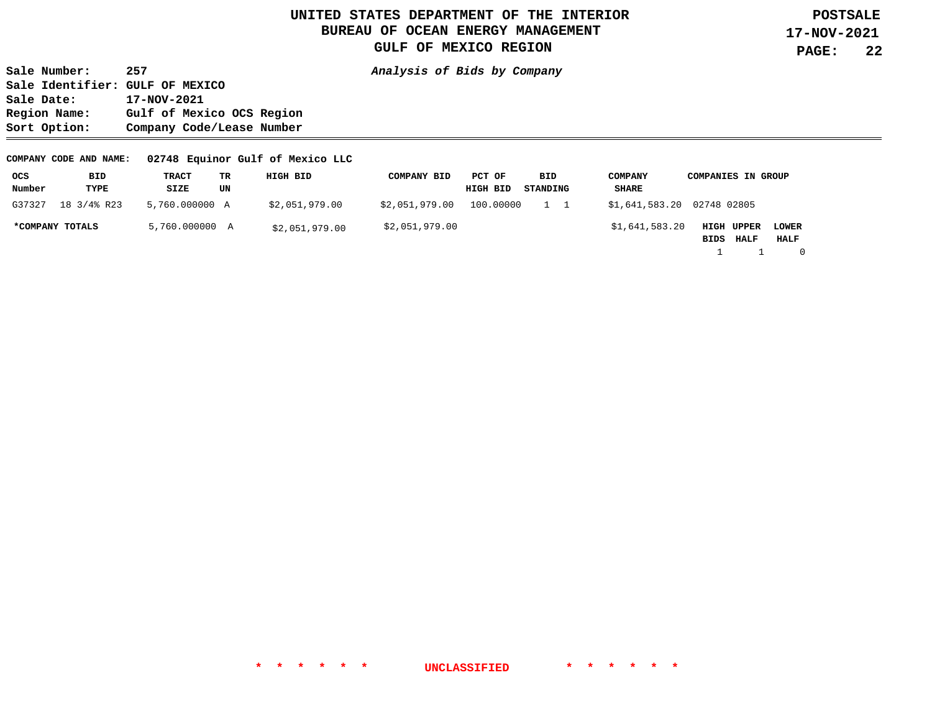**Sale Number: 257 Analysis of Bids by Company Sale Identifier: GULF OF MEXICO Sale Date: 17-NOV-2021 Region Name: Gulf of Mexico OCS Region Sort Option: Company Code/Lease Number** 

#### **COMPANY CODE AND NAME: 02748 Equinor Gulf of Mexico LLC**

| ocs             | BID         | TRACT          | TR | HIGH BID       | <b>COMPANY BID</b> | PCT OF    | BID      | <b>COMPANY</b>             | <b>COMPANIES IN GROUP</b>         |
|-----------------|-------------|----------------|----|----------------|--------------------|-----------|----------|----------------------------|-----------------------------------|
| Number          | TYPE        | SIZE           | UN |                |                    | HIGH BID  | STANDING | SHARE                      |                                   |
| G37327          | 18 3/4% R23 | 5,760.000000 A |    | \$2,051,979.00 | \$2,051,979.00     | 100.00000 |          | \$1,641,583.20 02748 02805 |                                   |
| *COMPANY TOTALS |             | 5,760.000000 A |    | \$2,051,979.00 | \$2,051,979.00     |           |          | \$1,641,583.20             | <b>HIGH UPPER</b><br><b>LOWER</b> |
|                 |             |                |    |                |                    |           |          |                            | HALF<br>HALF<br>BIDS              |
|                 |             |                |    |                |                    |           |          |                            |                                   |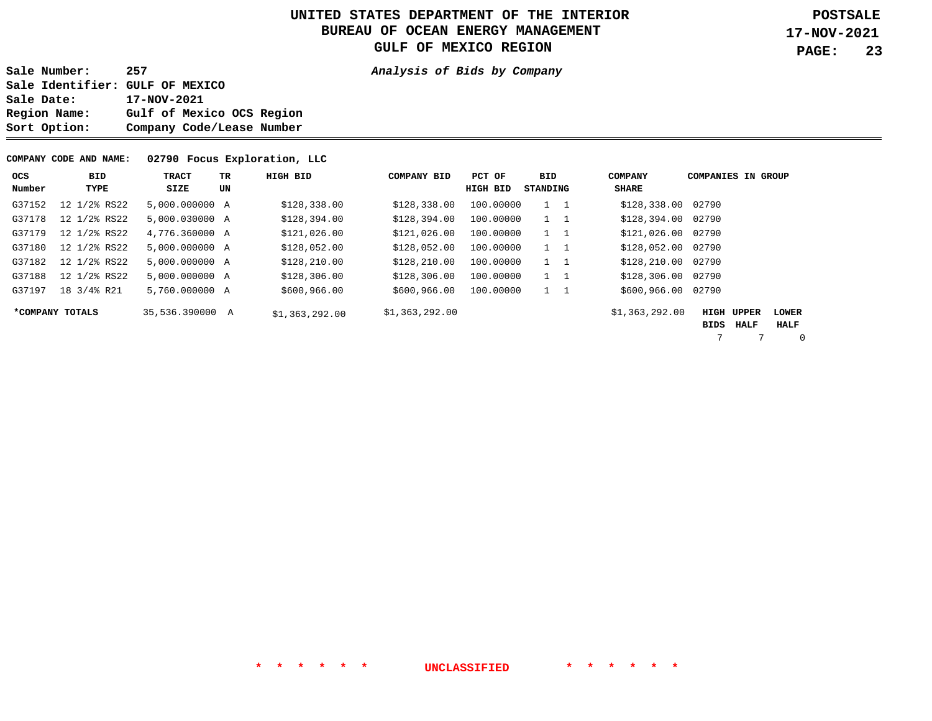**Sale Number: 257 Analysis of Bids by Company Sale Identifier: GULF OF MEXICO Sale Date: 17-NOV-2021 Region Name: Gulf of Mexico OCS Region Sort Option: Company Code/Lease Number** 

#### **COMPANY CODE AND NAME: 02790 Focus Exploration, LLC**

| <b>OCS</b> | <b>BID</b>      | <b>TRACT</b>    | <b>TR</b> | HIGH BID       | <b>COMPANY BID</b> | PCT OF    | <b>BID</b>  | <b>COMPANY</b>     | <b>COMPANIES IN GROUP</b> |      |                      |
|------------|-----------------|-----------------|-----------|----------------|--------------------|-----------|-------------|--------------------|---------------------------|------|----------------------|
| Number     | TYPE            | SIZE            | UN        |                |                    | HIGH BID  | STANDING    | SHARE              |                           |      |                      |
| G37152     | 12 1/2% RS22    | 5,000,000000 A  |           | \$128,338.00   | \$128,338.00       | 100,00000 | $1\quad 1$  | \$128,338.00 02790 |                           |      |                      |
| G37178     | 12 1/2% RS22    | 5,000.030000 A  |           | \$128,394.00   | \$128,394.00       | 100,00000 | $1\quad 1$  | \$128,394.00       | 02790                     |      |                      |
| G37179     | 12 1/2% RS22    | 4,776.360000 A  |           | \$121,026.00   | \$121,026.00       | 100,00000 | $1 \quad 1$ | \$121,026.00       | 02790                     |      |                      |
| G37180     | 12 1/2% RS22    | 5,000,000000 A  |           | \$128,052.00   | \$128,052.00       | 100,00000 | $1 \quad 1$ | \$128,052.00       | 02790                     |      |                      |
| G37182     | 12 1/2% RS22    | 5,000,000000 A  |           | \$128, 210.00  | \$128,210.00       | 100,00000 | $1\quad 1$  | \$128,210.00       | 02790                     |      |                      |
| G37188     | 12 1/2% RS22    | 5,000.000000 A  |           | \$128,306.00   | \$128, 306.00      | 100,00000 | $1\quad 1$  | \$128,306.00       | 02790                     |      |                      |
| G37197     | 18 3/4% R21     | 5,760,000000 A  |           | \$600,966.00   | \$600, 966.00      | 100.00000 | $1 \quad 1$ | \$600,966.00       | 02790                     |      |                      |
|            | *COMPANY TOTALS | 35,536.390000 A |           | \$1,363,292.00 | \$1,363,292.00     |           |             | \$1,363,292.00     | HIGH UPPER<br>BIDS        | HALF | <b>LOWER</b><br>HALF |

7 7 0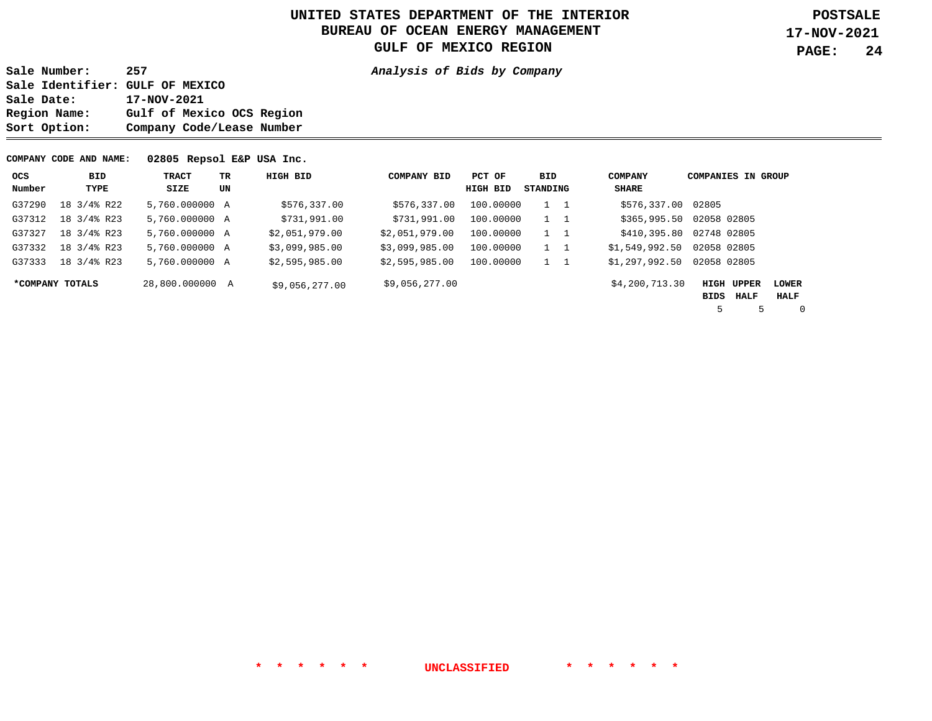**Sale Number: 257 Analysis of Bids by Company Sale Identifier: GULF OF MEXICO**  Sale Date: 17-NOV-2021<br>Region Name: Gulf of Mex: Gulf of Mexico OCS Region **Sort Option: Company Code/Lease Number** 

#### **COMPANY CODE AND NAME: 02805 Repsol E&P USA Inc.**

| ocs    | BID             | <b>TRACT</b>    | TR. | HIGH BID       | <b>COMPANY BID</b> | PCT OF    | BID         | <b>COMPANY</b> | <b>COMPANIES IN GROUP</b> |   |              |
|--------|-----------------|-----------------|-----|----------------|--------------------|-----------|-------------|----------------|---------------------------|---|--------------|
| Number | TYPE            | SIZE            | UN  |                |                    | HIGH BID  | STANDING    | SHARE          |                           |   |              |
| G37290 | 18 3/4% R22     | 5,760,000000 A  |     | \$576,337.00   | \$576,337.00       | 100.00000 | $1 \quad 1$ | \$576,337.00   | 02805                     |   |              |
| G37312 | 18 3/4% R23     | 5,760.000000 A  |     | \$731,991.00   | \$731,991.00       | 100.00000 | $1 \quad 1$ | \$365,995.50   | 02058 02805               |   |              |
| G37327 | 18 3/4% R23     | 5,760.000000 A  |     | \$2,051,979.00 | \$2,051,979.00     | 100.00000 | $1\quad 1$  | \$410,395.80   | 02748 02805               |   |              |
| G37332 | 18 3/4% R23     | 5,760,000000 A  |     | \$3,099,985.00 | \$3,099,985.00     | 100.00000 | $1 \quad 1$ | \$1,549,992.50 | 02058 02805               |   |              |
| G37333 | 18 3/4% R23     | 5,760,000000 A  |     | \$2,595,985.00 | \$2,595,985.00     | 100.00000 | 1 1         | \$1,297,992.50 | 02058 02805               |   |              |
|        | *COMPANY TOTALS | 28,800,000000 A |     | \$9,056,277.00 | \$9,056,277.00     |           |             | \$4,200,713.30 | <b>HIGH UPPER</b>         |   | <b>LOWER</b> |
|        |                 |                 |     |                |                    |           |             |                | BIDS<br><b>HALF</b>       |   | HALF         |
|        |                 |                 |     |                |                    |           |             |                | 5                         | 5 | $\Omega$     |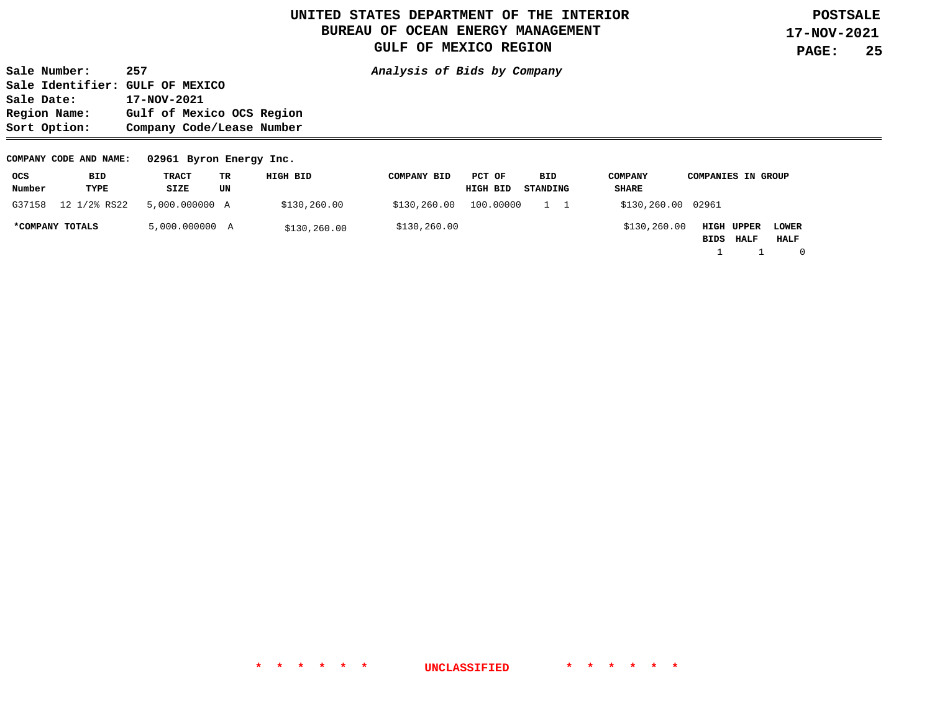**Sale Number: 257 Analysis of Bids by Company Sale Identifier: GULF OF MEXICO**  Sale Date: 17-NOV-2021<br>Region Name: Gulf of Mex: Gulf of Mexico OCS Region **Sort Option: Company Code/Lease Number** 

#### **COMPANY CODE AND NAME: 02961 Byron Energy Inc.**

| ocs             | BID          | TRACT          | TR | HIGH BID     | <b>COMPANY BID</b> | PCT OF    | BID       | <b>COMPANY</b>     | <b>COMPANIES IN GROUP</b> |             |              |
|-----------------|--------------|----------------|----|--------------|--------------------|-----------|-----------|--------------------|---------------------------|-------------|--------------|
| Number          | TYPE         | SIZE           | UN |              |                    | HIGH BID  | STANDING  | SHARE              |                           |             |              |
| G37158          | 12 1/2% RS22 | 5,000.000000 A |    | \$130,260.00 | \$130,260.00       | 100.00000 | $1\quad1$ | \$130,260.00 02961 |                           |             |              |
| *COMPANY TOTALS |              | 5,000.000000 A |    | \$130,260.00 | \$130,260.00       |           |           | \$130,260.00       | HIGH UPPER                |             | <b>LOWER</b> |
|                 |              |                |    |              |                    |           |           |                    | BIDS                      | <b>HALF</b> | HALF         |
|                 |              |                |    |              |                    |           |           |                    |                           |             |              |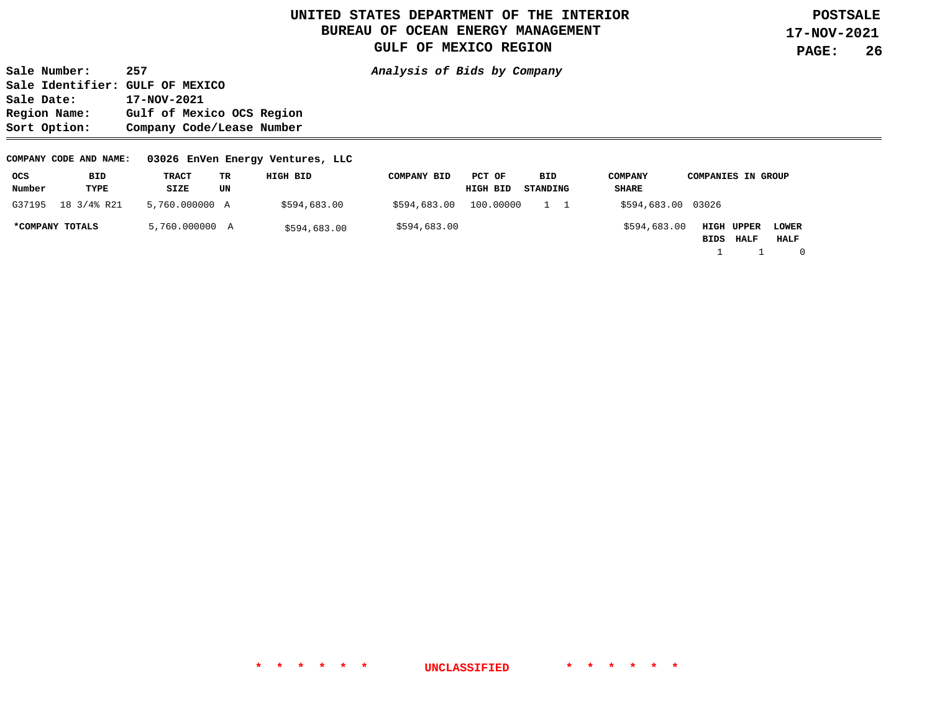**Sale Number: 257 Analysis of Bids by Company Sale Identifier: GULF OF MEXICO Sale Date: 17-NOV-2021 Region Name: Gulf of Mexico OCS Region Sort Option: Company Code/Lease Number** 

#### **COMPANY CODE AND NAME: 03026 EnVen Energy Ventures, LLC**

| ocs             | BID         | TRACT          | TR | HIGH BID     | <b>COMPANY BID</b> | PCT OF    | BID      | <b>COMPANY</b>     | <b>COMPANIES IN GROUP</b> |             |              |
|-----------------|-------------|----------------|----|--------------|--------------------|-----------|----------|--------------------|---------------------------|-------------|--------------|
| Number          | TYPE        | SIZE           | UN |              |                    | HIGH BID  | STANDING | SHARE              |                           |             |              |
| G37195          | 18 3/4% R21 | 5,760.000000 A |    | \$594,683.00 | \$594,683.00       | 100.00000 | 1 1      | \$594,683.00 03026 |                           |             |              |
| *COMPANY TOTALS |             | 5,760.000000 A |    | \$594,683.00 | \$594,683.00       |           |          | \$594,683.00       | HIGH UPPER                |             | <b>LOWER</b> |
|                 |             |                |    |              |                    |           |          |                    | BIDS                      | <b>HALF</b> | HALF         |
|                 |             |                |    |              |                    |           |          |                    |                           |             |              |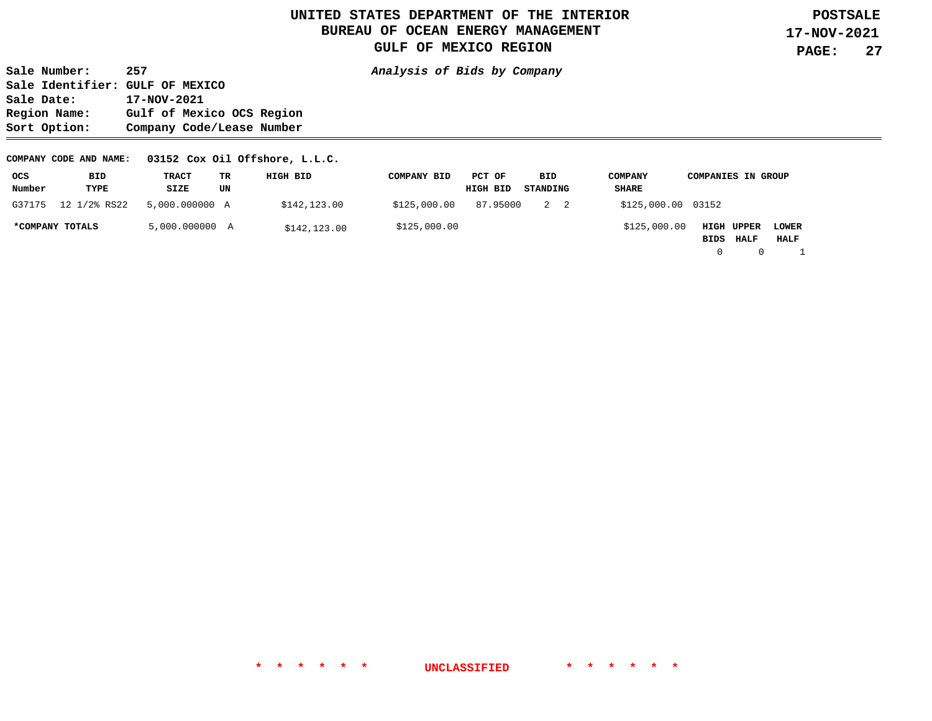**Sale Number: 257 Analysis of Bids by Company Sale Identifier: GULF OF MEXICO Sale Date: 17-NOV-2021 Region Name: Gulf of Mexico OCS Region Sort Option: Company Code/Lease Number** 

#### **COMPANY CODE AND NAME: 03152 Cox Oil Offshore, L.L.C.**

| ocs    | BID             | TRACT          | тĸ | HIGH BID     | <b>COMPANY BID</b> | PCT OF   | BID      | <b>COMPANY</b>     | <b>COMPANIES IN GROUP</b> |             |              |
|--------|-----------------|----------------|----|--------------|--------------------|----------|----------|--------------------|---------------------------|-------------|--------------|
| Number | TYPE            | SIZE           | UN |              |                    | HIGH BID | STANDING | SHARE              |                           |             |              |
| G37175 | 12 1/2% RS22    | 5,000,000000 A |    | \$142,123.00 | \$125,000.00       | 87.95000 | 2 2      | \$125,000.00 03152 |                           |             |              |
|        | *COMPANY TOTALS | 5,000.000000 A |    | \$142,123.00 | \$125,000.00       |          |          | \$125,000.00       | <b>HIGH UPPER</b>         |             | <b>LOWER</b> |
|        |                 |                |    |              |                    |          |          |                    | BIDS                      | <b>HALF</b> | HALF         |
|        |                 |                |    |              |                    |          |          |                    |                           |             |              |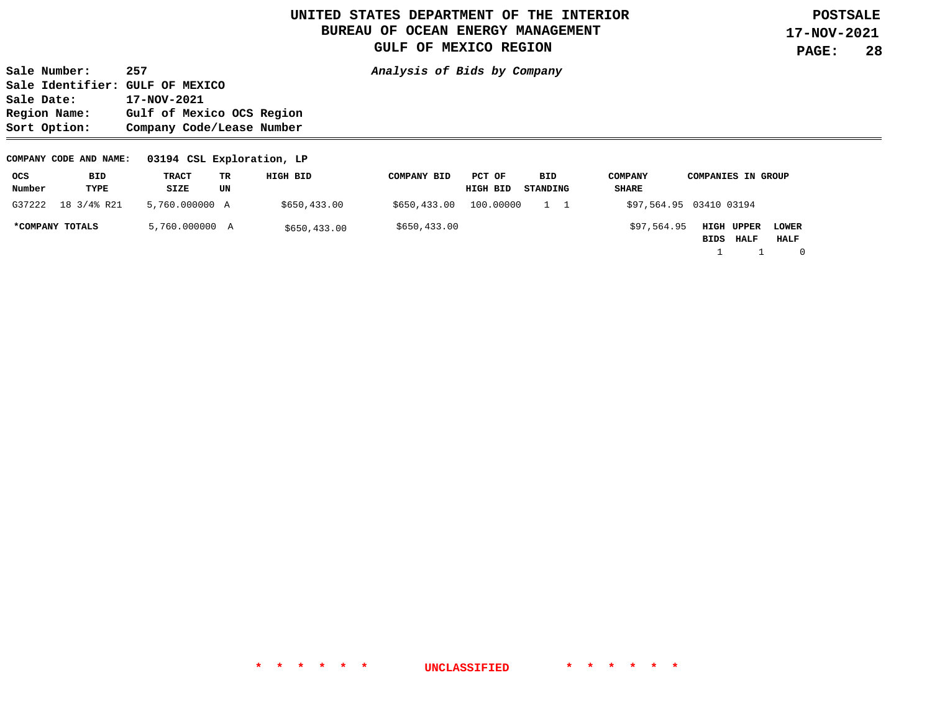**Sale Number: 257 Analysis of Bids by Company Sale Identifier: GULF OF MEXICO**  Sale Date: 17-NOV-2021<br>Region Name: Gulf of Mex: Gulf of Mexico OCS Region **Sort Option: Company Code/Lease Number** 

#### **COMPANY CODE AND NAME: 03194 CSL Exploration, LP**

| ocs             | BID         | TRACT          | TR | HIGH BID     | <b>COMPANY BID</b> | PCT OF    | BID       | <b>COMPANY</b> | <b>COMPANIES IN GROUP</b>                                 |
|-----------------|-------------|----------------|----|--------------|--------------------|-----------|-----------|----------------|-----------------------------------------------------------|
| Number          | TYPE        | SIZE           | UN |              |                    | HIGH BID  | STANDING  | SHARE          |                                                           |
| G37222          | 18 3/4% R21 | 5,760.000000 A |    | \$650,433.00 | \$650,433.00       | 100,00000 | $1\quad1$ |                | \$97,564.95 03410 03194                                   |
| *COMPANY TOTALS |             | 5,760.000000 A |    | \$650,433.00 | \$650,433.00       |           |           | \$97,564.95    | HIGH UPPER<br><b>LOWER</b><br>HALF<br>BIDS<br><b>HALF</b> |

1 1 0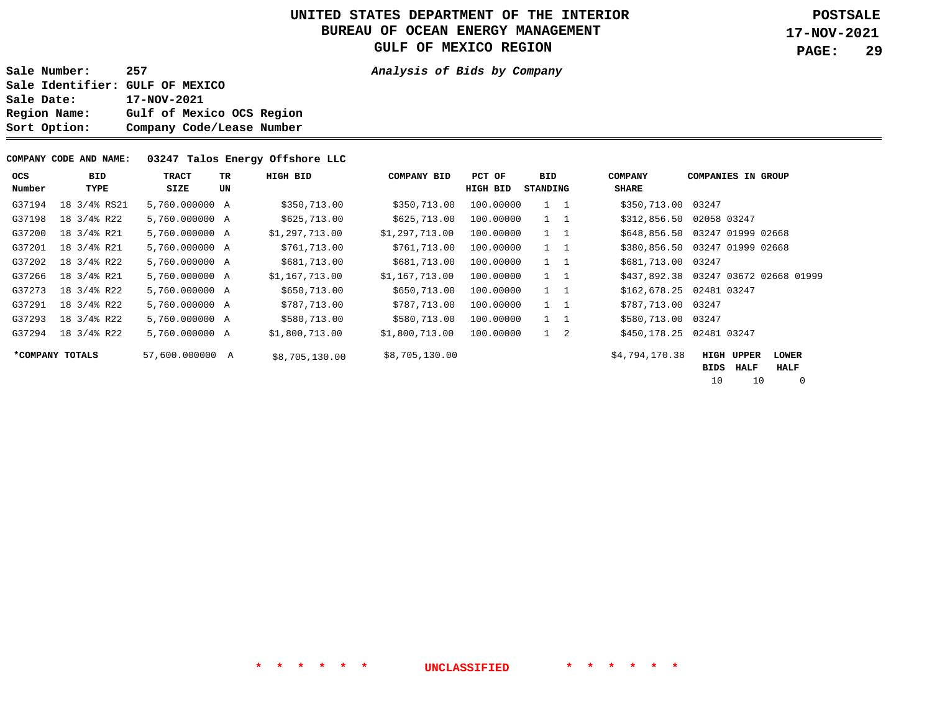**Sale Number: 257 Analysis of Bids by Company Sale Identifier: GULF OF MEXICO Sale Date: 17-NOV-2021 Region Name: Gulf of Mexico OCS Region Sort Option: Company Code/Lease Number** 

#### **COMPANY CODE AND NAME: 03247 Talos Energy Offshore LLC**

| <b>OCS</b><br>Number | BID<br>TYPE     | TRACT<br>SIZE   | TR.<br>UN | HIGH BID       | <b>COMPANY BID</b> | PCT OF<br>HIGH BID | BID.<br>STANDING | <b>COMPANY</b><br><b>SHARE</b> | <b>COMPANIES IN GROUP</b>                                    |
|----------------------|-----------------|-----------------|-----------|----------------|--------------------|--------------------|------------------|--------------------------------|--------------------------------------------------------------|
| G37194               | 18 3/4% RS21    | 5,760,000000 A  |           | \$350,713.00   | \$350,713.00       | 100,00000          | $1\quad 1$       | \$350,713.00 03247             |                                                              |
| G37198               | 18 3/4% R22     | 5,760.000000 A  |           | \$625,713.00   | \$625,713.00       | 100,00000          | $1 \quad 1$      | \$312,856.50                   | 02058 03247                                                  |
| G37200               | 18 3/4% R21     | 5,760.000000 A  |           | \$1,297,713.00 | \$1,297,713.00     | 100.00000          | $1\quad 1$       |                                | \$648,856.50 03247 01999 02668                               |
| G37201               | 18 3/4% R21     | 5,760.000000 A  |           | \$761,713.00   | \$761,713.00       | 100,00000          | $1 \quad 1$      | \$380,856.50                   | 03247 01999 02668                                            |
| G37202               | 18 3/4% R22     | 5,760.000000 A  |           | \$681,713.00   | \$681,713.00       | 100,00000          | $1 \quad 1$      | \$681,713.00                   | 03247                                                        |
| G37266               | 18 3/4% R21     | 5,760.000000 A  |           | \$1,167,713.00 | \$1,167,713.00     | 100.00000          | $1 \quad 1$      |                                | \$437,892.38 03247 03672 02668 01999                         |
| G37273               | 18 3/4% R22     | 5,760.000000 A  |           | \$650,713.00   | \$650,713.00       | 100,00000          | $1 \quad 1$      | \$162,678.25                   | 02481 03247                                                  |
| G37291               | 18 3/4% R22     | 5,760.000000 A  |           | \$787,713.00   | \$787,713.00       | 100,00000          | $1 \quad 1$      | \$787,713.00 03247             |                                                              |
| G37293               | 18 3/4% R22     | 5,760.000000 A  |           | \$580,713.00   | \$580,713.00       | 100,00000          | $1 \quad 1$      | \$580,713.00 03247             |                                                              |
| G37294               | 18 3/4% R22     | 5,760.000000 A  |           | \$1,800,713.00 | \$1,800,713.00     | 100,00000          | $1 \quad 2$      | \$450,178.25                   | 02481 03247                                                  |
|                      | *COMPANY TOTALS | 57,600.000000 A |           | \$8,705,130.00 | \$8,705,130.00     |                    |                  | \$4,794,170.38                 | HIGH<br><b>UPPER</b><br><b>LOWER</b><br>HALF<br>HALF<br>BIDS |

10 10 0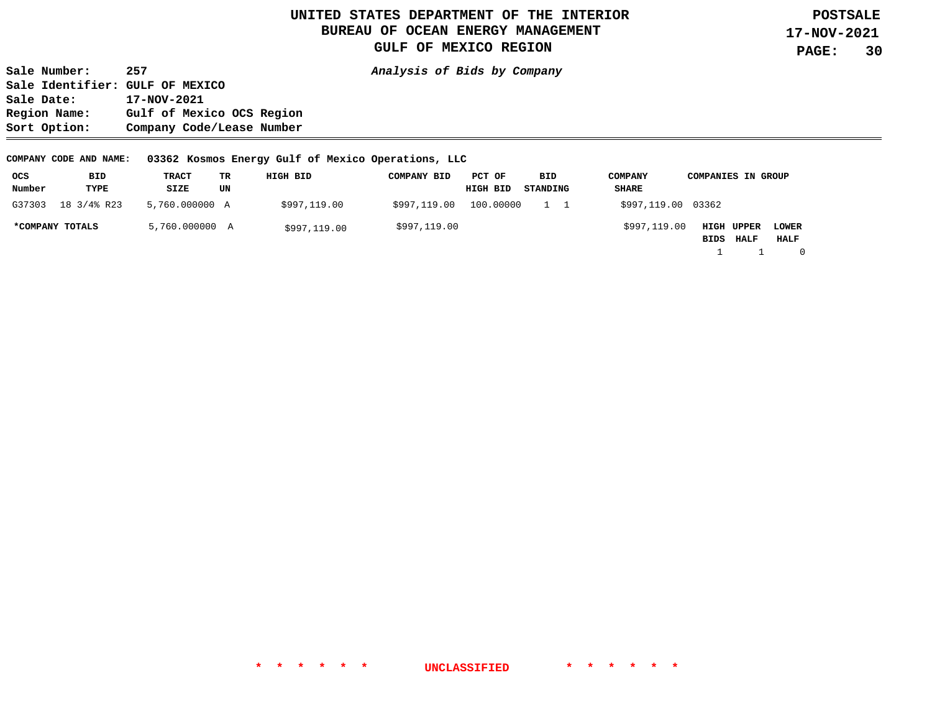**Sale Number: 257 Analysis of Bids by Company Sale Identifier: GULF OF MEXICO Sale Date: 17-NOV-2021 Region Name: Gulf of Mexico OCS Region Sort Option: Company Code/Lease Number** 

**COMPANY CODE AND NAME: 03362 Kosmos Energy Gulf of Mexico Operations, LLC** 

| ocs    | BID             | TRACT          | TR | HIGH BID     | <b>COMPANY BID</b> | PCT OF    | BID      | <b>COMPANY</b>     | <b>COMPANIES IN GROUP</b> |              |
|--------|-----------------|----------------|----|--------------|--------------------|-----------|----------|--------------------|---------------------------|--------------|
| Number | TYPE            | SIZE           | UN |              |                    | HIGH BID  | STANDING | SHARE              |                           |              |
| G37303 | 18 3/4% R23     | 5,760.000000 A |    | \$997,119.00 | \$997,119.00       | 100.00000 |          | \$997,119.00 03362 |                           |              |
|        | *COMPANY TOTALS | 5,760.000000 A |    | \$997,119.00 | \$997,119.00       |           |          | \$997,119.00       | <b>HIGH UPPER</b>         | <b>LOWER</b> |
|        |                 |                |    |              |                    |           |          |                    | BIDS HALF                 | HALF         |
|        |                 |                |    |              |                    |           |          |                    |                           | $\mathbf{0}$ |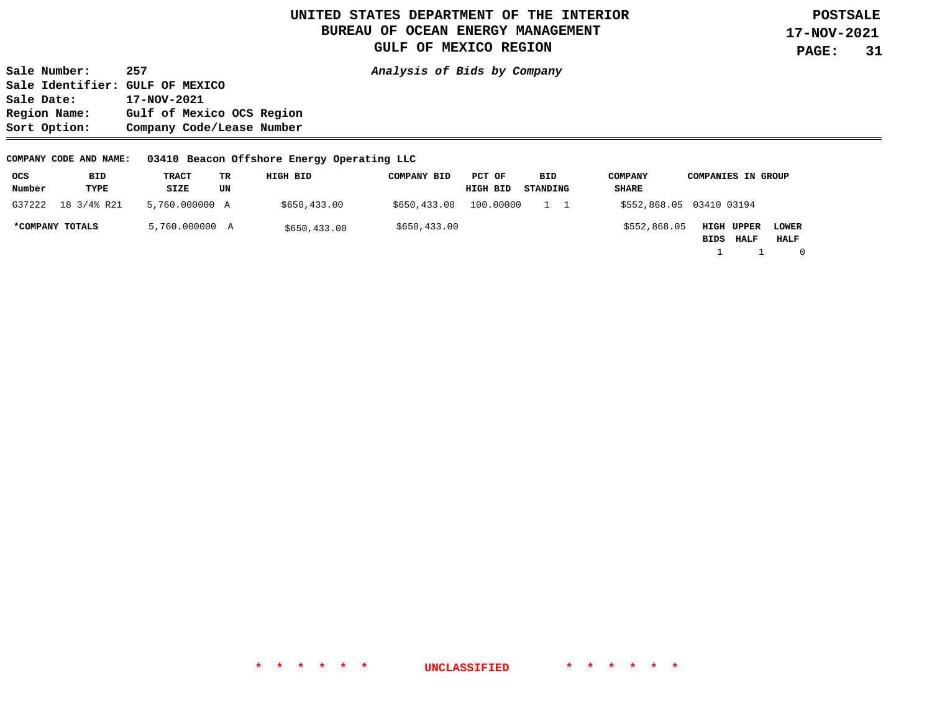**Sale Number: 257 Analysis of Bids by Company Sale Identifier: GULF OF MEXICO Sale Date: 17-NOV-2021 Region Name: Gulf of Mexico OCS Region Sort Option: Company Code/Lease Number** 

**COMPANY CODE AND NAME: 03410 Beacon Offshore Energy Operating LLC** 

| ocs             | BID         | TRACT          | TR | HIGH BID     | <b>COMPANY BID</b> | PCT OF    | BID      | <b>COMPANY</b>           | <b>COMPANIES IN GROUP</b> |             |              |
|-----------------|-------------|----------------|----|--------------|--------------------|-----------|----------|--------------------------|---------------------------|-------------|--------------|
| Number          | TYPE        | SIZE           | UN |              |                    | HIGH BID  | STANDING | SHARE                    |                           |             |              |
| G37222          | 18 3/4% R21 | 5,760.000000 A |    | \$650,433.00 | \$650,433.00       | 100.00000 |          | \$552,868.05 03410 03194 |                           |             |              |
| *COMPANY TOTALS |             | 5,760.000000 A |    | \$650,433.00 | \$650,433.00       |           |          | \$552,868.05             | HIGH UPPER                |             | <b>LOWER</b> |
|                 |             |                |    |              |                    |           |          |                          | BIDS                      | <b>HALF</b> | HALF         |
|                 |             |                |    |              |                    |           |          |                          |                           |             | $\Omega$     |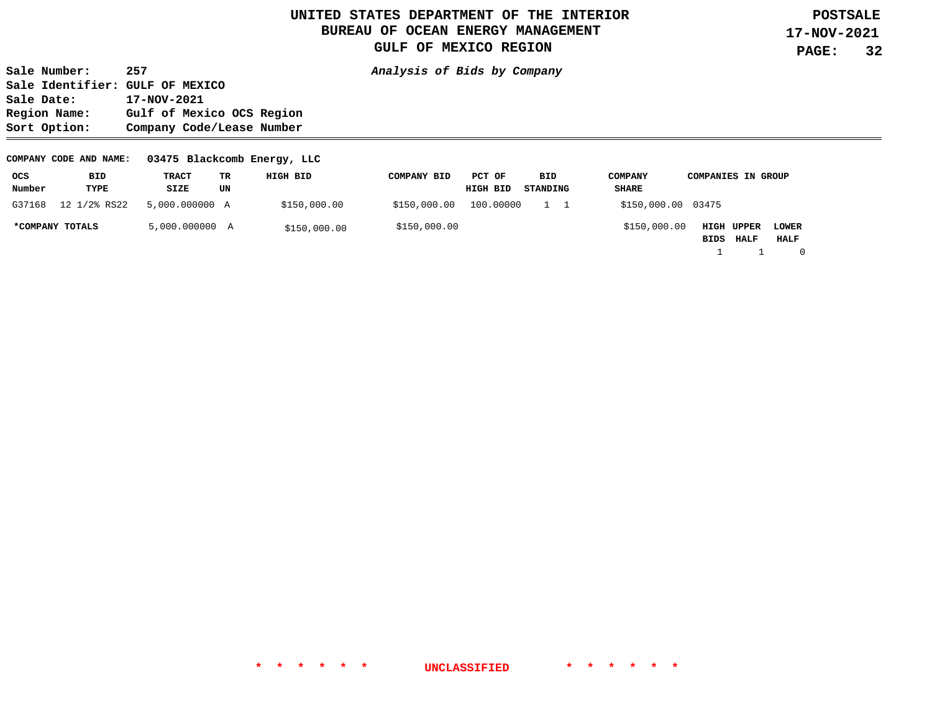**Sale Number: 257 Analysis of Bids by Company Sale Identifier: GULF OF MEXICO**  Sale Date: 17-NOV-2021<br>Region Name: Gulf of Mex: Gulf of Mexico OCS Region **Sort Option: Company Code/Lease Number** 

#### **COMPANY CODE AND NAME: 03475 Blackcomb Energy, LLC**

| ocs             | BID          | TRACT          | TR | HIGH BID     | COMPANY BID  | PCT OF    | BID      | <b>COMPANY</b>     | <b>COMPANIES IN GROUP</b>                          |
|-----------------|--------------|----------------|----|--------------|--------------|-----------|----------|--------------------|----------------------------------------------------|
| Number          | TYPE         | SIZE           | UN |              |              | HIGH BID  | STANDING | SHARE              |                                                    |
| G37168          | 12 1/2% RS22 | 5,000,000000 A |    | \$150,000.00 | \$150,000.00 | 100.00000 |          | \$150,000.00 03475 |                                                    |
| *COMPANY TOTALS |              | 5,000.000000 A |    | \$150,000.00 | \$150,000.00 |           |          | \$150,000.00       | HIGH UPPER<br><b>LOWER</b><br>HALF<br>BIDS<br>HALF |

1 1 0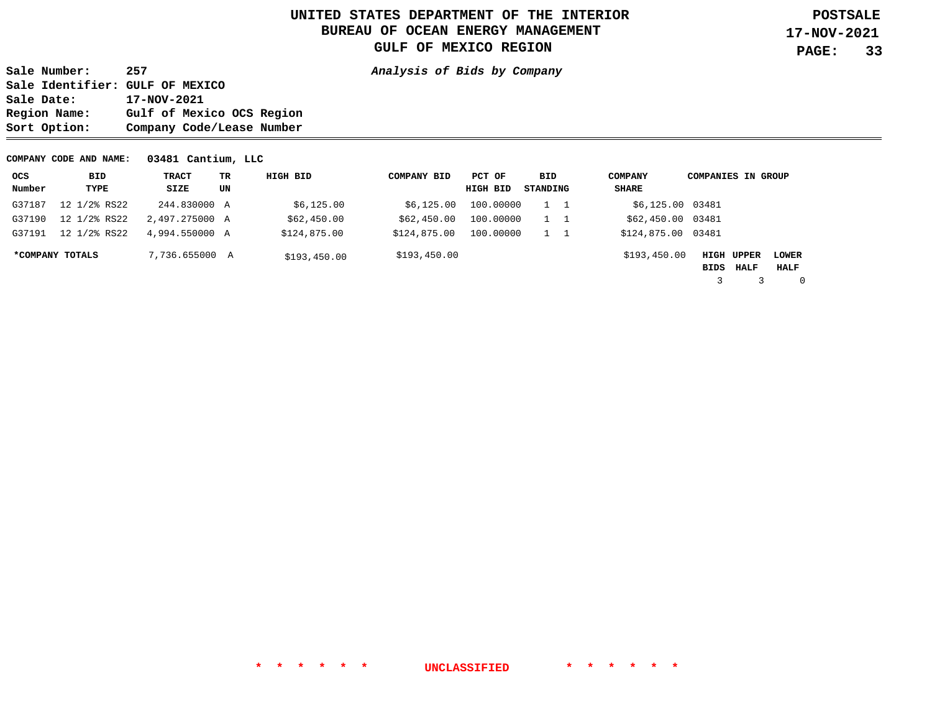**Sale Number: 257 Analysis of Bids by Company Sale Identifier: GULF OF MEXICO**  Sale Date: 17-NOV-2021<br>Region Name: Gulf of Mex: Gulf of Mexico OCS Region **Sort Option: Company Code/Lease Number** 

**COMPANY CODE AND NAME: 03481 Cantium, LLC** 

| ocs    | BID             | TRACT          | TR | HIGH BID     | <b>COMPANY BID</b> | PCT OF    | BID      | <b>COMPANY</b>     | <b>COMPANIES IN GROUP</b> |                    |                      |
|--------|-----------------|----------------|----|--------------|--------------------|-----------|----------|--------------------|---------------------------|--------------------|----------------------|
| Number | TYPE            | SIZE           | UN |              |                    | HIGH BID  | STANDING | SHARE              |                           |                    |                      |
| G37187 | 12 1/2% RS22    | 244.830000 A   |    | \$6,125.00   | \$6,125.00         | 100,00000 |          | \$6,125.00 03481   |                           |                    |                      |
| G37190 | 12 1/2% RS22    | 2,497.275000 A |    | \$62,450.00  | \$62,450.00        | 100,00000 |          | \$62,450.00 03481  |                           |                    |                      |
| G37191 | 12 1/2% RS22    | 4,994,550000 A |    | \$124,875.00 | \$124,875.00       | 100,00000 |          | \$124,875.00 03481 |                           |                    |                      |
|        | *COMPANY TOTALS | 7,736.655000 A |    | \$193,450.00 | \$193,450.00       |           |          | \$193,450.00       | BIDS                      | HIGH UPPER<br>HALF | <b>LOWER</b><br>HALF |
|        |                 |                |    |              |                    |           |          |                    |                           |                    | $\mathbf 0$          |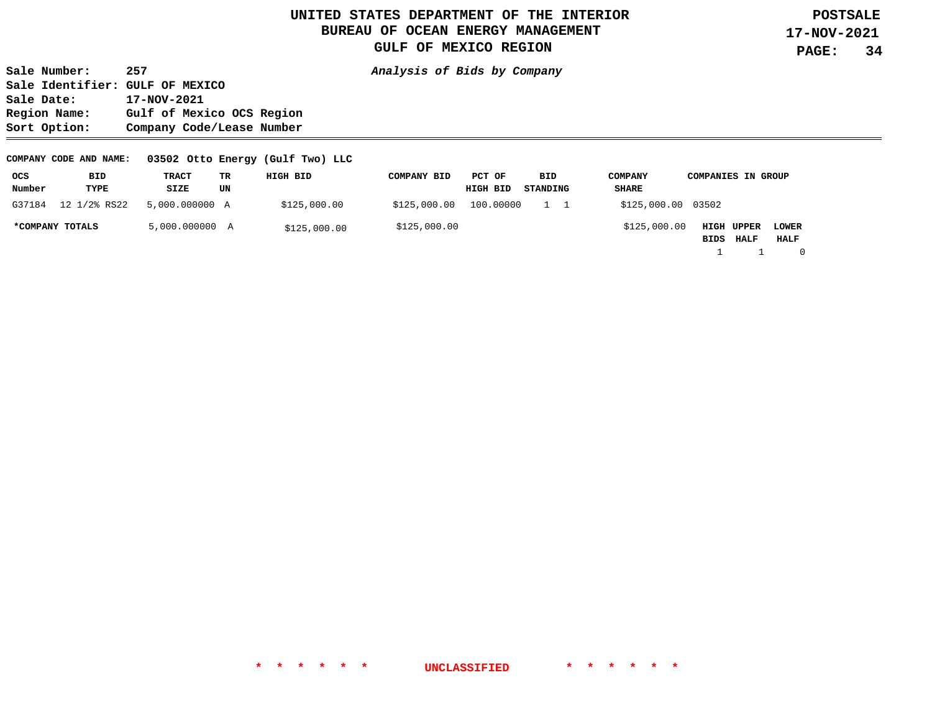**Sale Number: 257 Analysis of Bids by Company Sale Identifier: GULF OF MEXICO Sale Date: 17-NOV-2021 Region Name: Gulf of Mexico OCS Region Sort Option: Company Code/Lease Number** 

#### **COMPANY CODE AND NAME: 03502 Otto Energy (Gulf Two) LLC**

| ocs             | BID          | <b>TRACT</b>   | TR | HIGH BID     | <b>COMPANY BID</b> | PCT OF    | BID      | <b>COMPANY</b>     | <b>COMPANIES IN GROUP</b>                                        |
|-----------------|--------------|----------------|----|--------------|--------------------|-----------|----------|--------------------|------------------------------------------------------------------|
| Number          | TYPE         | SIZE           | UN |              |                    | HIGH BID  | STANDING | SHARE              |                                                                  |
| G37184          | 12 1/2% RS22 | 5,000,000000 A |    | \$125,000.00 | \$125,000.00       | 100.00000 |          | \$125,000.00 03502 |                                                                  |
| *COMPANY TOTALS |              | 5,000.000000 A |    | \$125,000.00 | \$125,000.00       |           |          | \$125,000.00       | HIGH UPPER<br><b>LOWER</b><br><b>HALF</b><br><b>HALF</b><br>BIDS |

1 1 0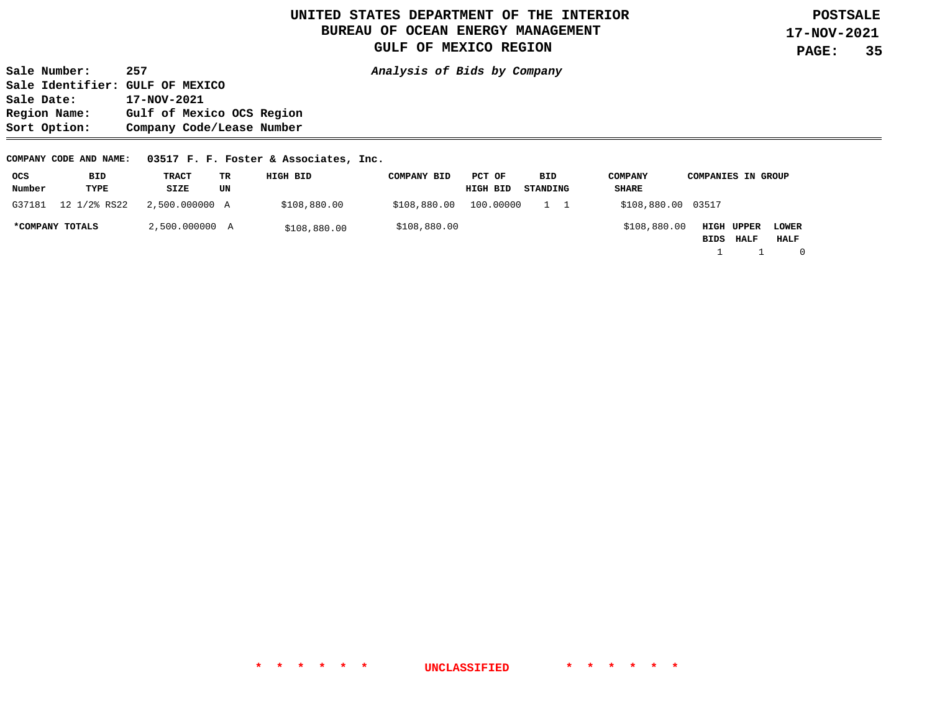**Sale Number: 257 Analysis of Bids by Company Sale Identifier: GULF OF MEXICO Sale Date: 17-NOV-2021 Region Name: Gulf of Mexico OCS Region Sort Option: Company Code/Lease Number** 

**COMPANY CODE AND NAME: 03517 F. F. Foster & Associates, Inc.** 

| ocs    | BID             | TRACT          | ТR | HIGH BID     | <b>COMPANY BID</b> | PCT OF    | BID      | <b>COMPANY</b>     | <b>COMPANIES IN GROUP</b> |              |
|--------|-----------------|----------------|----|--------------|--------------------|-----------|----------|--------------------|---------------------------|--------------|
| Number | TYPE            | SIZE           | UN |              |                    | HIGH BID  | STANDING | SHARE              |                           |              |
| G37181 | 12 1/2% RS22    | 2,500.000000 A |    | \$108,880.00 | \$108,880.00       | 100.00000 |          | \$108,880.00 03517 |                           |              |
|        | *COMPANY TOTALS | 2,500.000000 A |    | \$108,880.00 | \$108,880.00       |           |          | \$108,880.00       | <b>HIGH UPPER</b>         | <b>LOWER</b> |
|        |                 |                |    |              |                    |           |          |                    | <b>BIDS HALF</b>          | HALF         |
|        |                 |                |    |              |                    |           |          |                    |                           | $\mathbf{0}$ |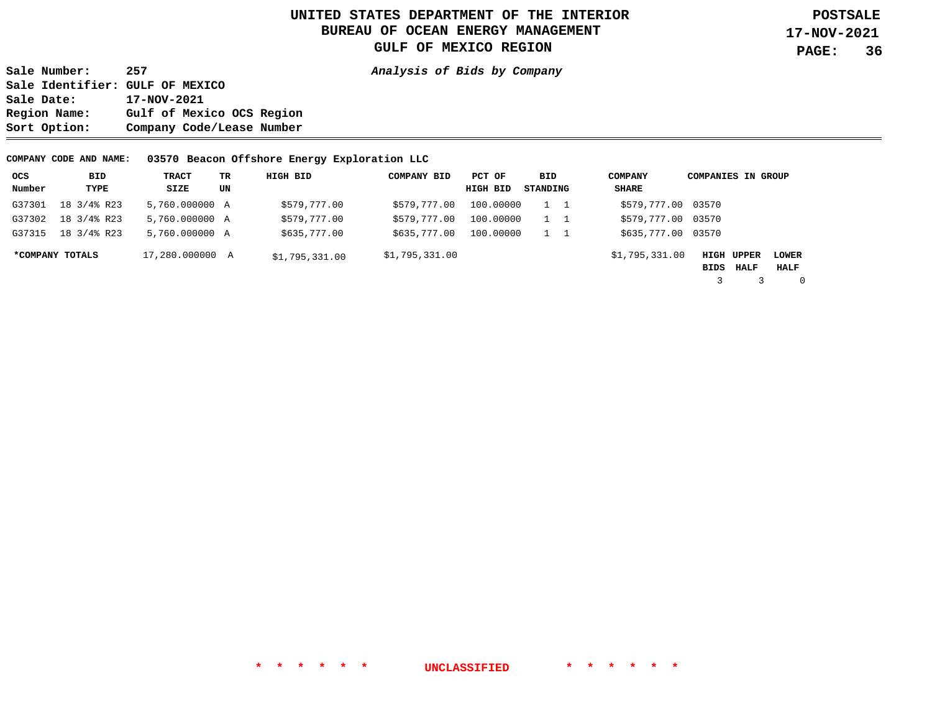**Sale Number: 257 Analysis of Bids by Company Sale Identifier: GULF OF MEXICO Sale Date: 17-NOV-2021 Region Name: Gulf of Mexico OCS Region Sort Option: Company Code/Lease Number** 

**COMPANY CODE AND NAME: 03570 Beacon Offshore Energy Exploration LLC** 

| ocs    | BID             | TRACT           | TR. | HIGH BID       | <b>COMPANY BID</b> | PCT OF    | BID      | <b>COMPANY</b>     | <b>COMPANIES IN GROUP</b> |      |                      |
|--------|-----------------|-----------------|-----|----------------|--------------------|-----------|----------|--------------------|---------------------------|------|----------------------|
| Number | TYPE            | SIZE            | UN  |                |                    | HIGH BID  | STANDING | <b>SHARE</b>       |                           |      |                      |
| G37301 | 18 3/4% R23     | 5,760,000000 A  |     | \$579,777.00   | \$579,777.00       | 100,00000 |          | \$579,777.00 03570 |                           |      |                      |
| G37302 | 18 3/4% R23     | 5,760.000000 A  |     | \$579,777.00   | \$579,777.00       | 100,00000 |          | \$579,777.00 03570 |                           |      |                      |
| G37315 | 18 3/4% R23     | 5,760.000000 A  |     | \$635,777.00   | \$635,777.00       | 100,00000 |          | \$635,777.00 03570 |                           |      |                      |
|        | *COMPANY TOTALS | 17,280,000000 A |     | \$1,795,331.00 | \$1,795,331.00     |           |          | \$1,795,331.00     | <b>HIGH UPPER</b><br>BIDS | HALF | <b>LOWER</b><br>HALF |
|        |                 |                 |     |                |                    |           |          |                    |                           |      | $\Omega$             |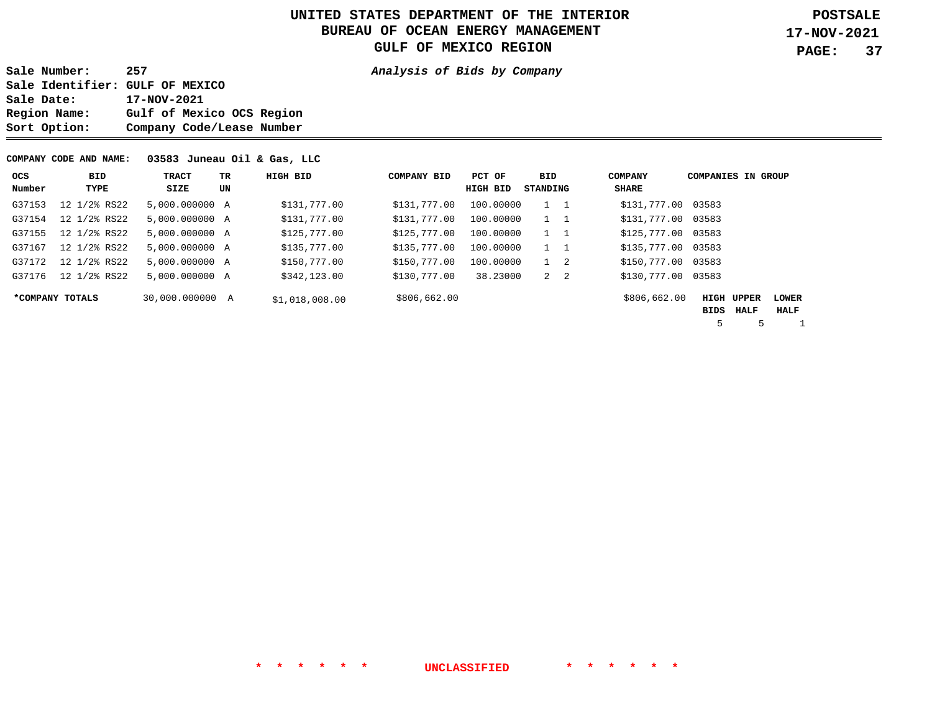**Sale Number: 257 Analysis of Bids by Company Sale Identifier: GULF OF MEXICO**  Sale Date: 17-NOV-2021<br>Region Name: Gulf of Mex Gulf of Mexico OCS Region **Sort Option: Company Code/Lease Number** 

#### **COMPANY CODE AND NAME: 03583 Juneau Oil & Gas, LLC**

| ocs    | BID             | TRACT           | TR | HIGH BID       | <b>COMPANY BID</b> | PCT OF    | BID         | <b>COMPANY</b> | <b>COMPANIES IN GROUP</b> |                   |              |
|--------|-----------------|-----------------|----|----------------|--------------------|-----------|-------------|----------------|---------------------------|-------------------|--------------|
| Number | TYPE            | SIZE            | UN |                |                    | HIGH BID  | STANDING    | SHARE          |                           |                   |              |
| G37153 | 12 1/2% RS22    | 5,000,000000 A  |    | \$131,777.00   | \$131,777.00       | 100.00000 | $1\quad 1$  | \$131,777.00   | 03583                     |                   |              |
| G37154 | 12 1/2% RS22    | 5,000.000000 A  |    | \$131,777.00   | \$131,777.00       | 100.00000 | $1\quad 1$  | \$131,777.00   | 03583                     |                   |              |
| G37155 | 12 1/2% RS22    | 5,000.000000 A  |    | \$125,777.00   | \$125,777.00       | 100.00000 | 1 1         | \$125,777.00   | 03583                     |                   |              |
| G37167 | 12 1/2% RS22    | 5,000.000000 A  |    | \$135,777.00   | \$135,777.00       | 100.00000 | $1 \quad 1$ | \$135,777.00   | 03583                     |                   |              |
| G37172 | 12 1/2% RS22    | 5,000.000000 A  |    | \$150,777.00   | \$150,777.00       | 100.00000 | $1 \quad 2$ | \$150,777.00   | 03583                     |                   |              |
| G37176 | 12 1/2% RS22    | 5,000.000000 A  |    | \$342,123.00   | \$130,777.00       | 38.23000  | $2 \quad 2$ | \$130,777.00   | 03583                     |                   |              |
|        | *COMPANY TOTALS | 30,000,000000 A |    | \$1,018,008.00 | \$806,662.00       |           |             | \$806,662.00   |                           | <b>HIGH UPPER</b> | <b>LOWER</b> |
|        |                 |                 |    |                |                    |           |             |                | BIDS                      | HALF              | HALF         |
|        |                 |                 |    |                |                    |           |             |                | 5                         | 5                 |              |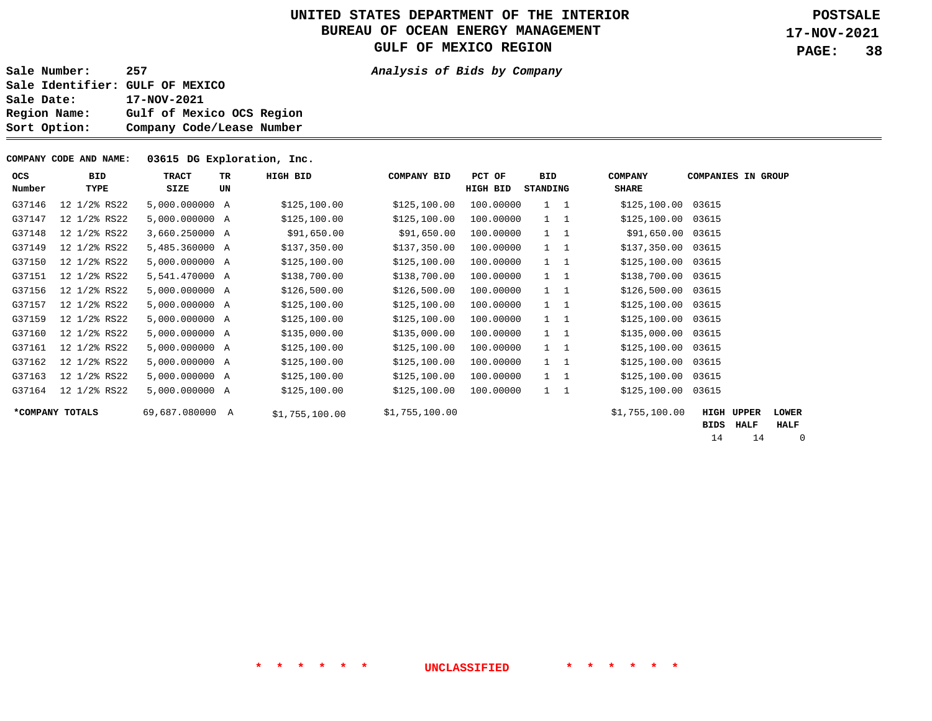**Sale Number: 257 Analysis of Bids by Company** 

**Sale Identifier: GULF OF MEXICO**  Sale Date: 17-NOV-2021<br>Region Name: Gulf of Mex Gulf of Mexico OCS Region **Sort Option: Company Code/Lease Number** 

#### **COMPANY CODE AND NAME: 03615 DG Exploration, Inc.**

| OCS<br>Number | BID<br>TYPE     | <b>TRACT</b><br>SIZE | TR<br>UN | HIGH BID       | <b>COMPANY BID</b> | PCT OF<br>HIGH BID | BID<br>STANDING | <b>COMPANY</b><br><b>SHARE</b> | <b>COMPANIES IN GROUP</b> |               |                      |
|---------------|-----------------|----------------------|----------|----------------|--------------------|--------------------|-----------------|--------------------------------|---------------------------|---------------|----------------------|
| G37146        | 12 1/2% RS22    | 5,000.000000 A       |          | \$125,100.00   | \$125,100.00       | 100.00000          | $1 \quad 1$     | \$125,100.00 03615             |                           |               |                      |
| G37147        | 12 1/2% RS22    | 5,000.000000 A       |          | \$125,100.00   | \$125,100.00       | 100.00000          | $1 \quad 1$     | \$125,100.00                   | 03615                     |               |                      |
| G37148        | 12 1/2% RS22    | 3,660.250000 A       |          | \$91,650.00    | \$91,650.00        | 100.00000          | $1 \quad 1$     | \$91,650.00                    | 03615                     |               |                      |
| G37149        | 12 1/2% RS22    | 5,485.360000 A       |          | \$137,350.00   | \$137,350.00       | 100.00000          | $1 \quad 1$     | \$137,350.00                   | 03615                     |               |                      |
| G37150        | 12 1/2% RS22    | 5,000.000000 A       |          | \$125,100.00   | \$125,100.00       | 100.00000          | $1\quad 1$      | \$125,100.00                   | 03615                     |               |                      |
| G37151        | 12 1/2% RS22    | 5,541.470000 A       |          | \$138,700.00   | \$138,700.00       | 100.00000          | $1\quad 1$      | \$138,700.00                   | 03615                     |               |                      |
| G37156        | 12 1/2% RS22    | 5,000.000000 A       |          | \$126,500.00   | \$126,500.00       | 100.00000          |                 | \$126,500.00                   | 03615                     |               |                      |
| G37157        | 12 1/2% RS22    | 5,000.000000 A       |          | \$125,100.00   | \$125,100.00       | 100.00000          | $1 \quad 1$     | \$125,100.00                   | 03615                     |               |                      |
| G37159        | 12 1/2% RS22    | 5,000.000000 A       |          | \$125,100.00   | \$125,100.00       | 100.00000          | $1 \quad 1$     | \$125,100.00                   | 03615                     |               |                      |
| G37160        | 12 1/2% RS22    | 5,000.000000 A       |          | \$135,000.00   | \$135,000.00       | 100.00000          | $1 \quad 1$     | \$135,000.00                   | 03615                     |               |                      |
| G37161        | 12 1/2% RS22    | 5,000.000000 A       |          | \$125,100.00   | \$125,100.00       | 100.00000          | $1\quad 1$      | \$125,100.00                   | 03615                     |               |                      |
| G37162        | 12 1/2% RS22    | 5,000.000000 A       |          | \$125,100.00   | \$125,100.00       | 100.00000          | $1\quad 1$      | \$125,100.00                   | 03615                     |               |                      |
| G37163        | 12 1/2% RS22    | 5,000.000000 A       |          | \$125,100.00   | \$125,100.00       | 100.00000          | $1\quad 1$      | \$125,100.00                   | 03615                     |               |                      |
| G37164        | 12 1/2% RS22    | 5,000.000000 A       |          | \$125,100.00   | \$125,100.00       | 100.00000          | $1 \quad 1$     | \$125,100.00                   | 03615                     |               |                      |
|               | *COMPANY TOTALS | 69,687.080000 A      |          | \$1,755,100.00 | \$1,755,100.00     |                    |                 | \$1,755,100.00                 | <b>HIGH</b><br>BIDS       | UPPER<br>HALF | <b>LOWER</b><br>HALF |

14 14 0